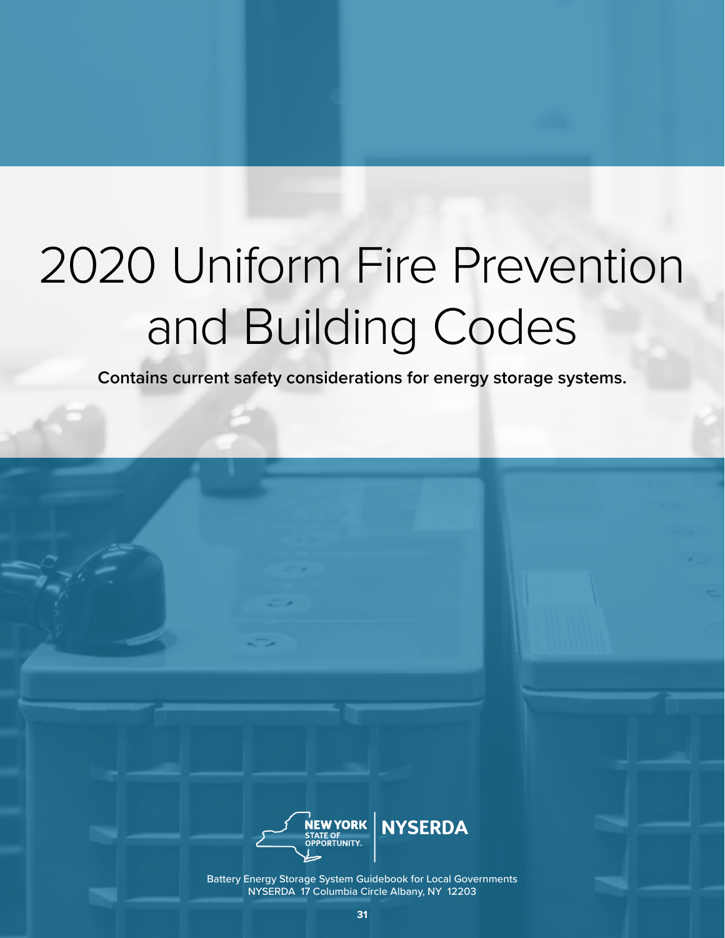# 2020 Uniform Fire Prevention and Building Codes

**Contains current safety considerations for energy storage systems.** 



Battery Energy Storage System Guidebook for Local Governments NYSERDA 17 Columbia Circle Albany, NY 12203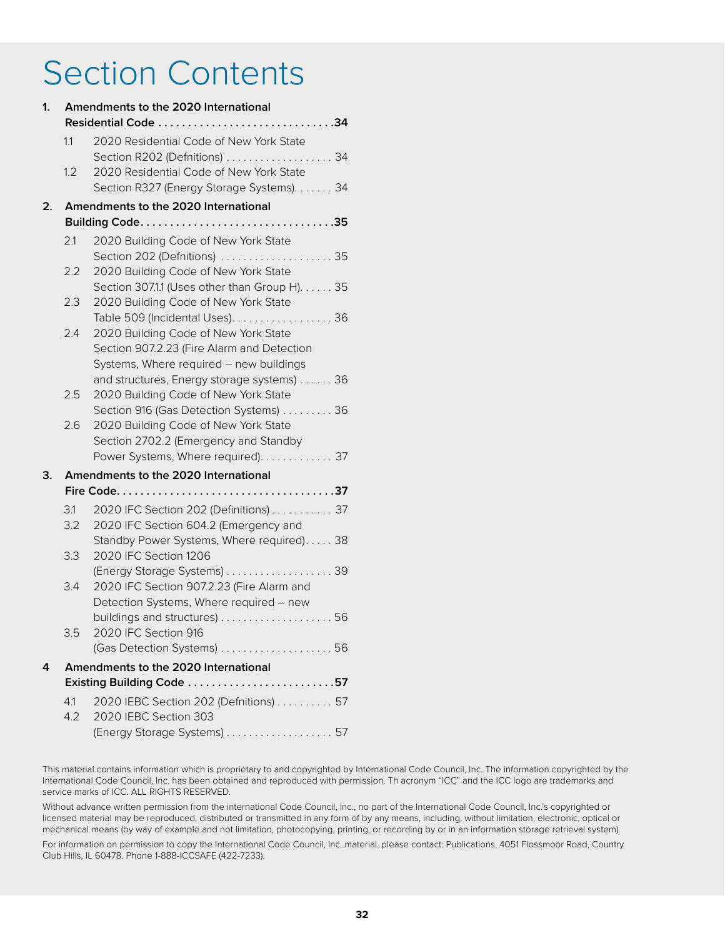# Section Contents

| 1. | Amendments to the 2020 International<br>Residential Code 34 |                                                                                                                               |
|----|-------------------------------------------------------------|-------------------------------------------------------------------------------------------------------------------------------|
|    | 1.1                                                         | 2020 Residential Code of New York State<br>Section R202 (Defnitions)  34                                                      |
|    | 1.2                                                         | 2020 Residential Code of New York State<br>Section R327 (Energy Storage Systems). 34                                          |
| 2. |                                                             | Amendments to the 2020 International                                                                                          |
|    |                                                             |                                                                                                                               |
|    | 2.1                                                         | 2020 Building Code of New York State<br>Section 202 (Defnitions)  35                                                          |
|    | 2.2                                                         | 2020 Building Code of New York State<br>Section 307.1.1 (Uses other than Group H). 35                                         |
|    | 2.3                                                         | 2020 Building Code of New York State<br>Table 509 (Incidental Uses)36                                                         |
|    | 2.4                                                         | 2020 Building Code of New York State<br>Section 907.2.23 (Fire Alarm and Detection<br>Systems, Where required - new buildings |
|    |                                                             | and structures, Energy storage systems) 36                                                                                    |
|    | 2.5                                                         | 2020 Building Code of New York State<br>Section 916 (Gas Detection Systems) 36                                                |
|    | 2.6                                                         | 2020 Building Code of New York State<br>Section 2702.2 (Emergency and Standby                                                 |
|    |                                                             | Power Systems, Where required). 37                                                                                            |
| З. |                                                             | Amendments to the 2020 International                                                                                          |
|    |                                                             |                                                                                                                               |
|    | 3.1<br>3.2                                                  | 2020 IFC Section 202 (Definitions) 37<br>2020 IFC Section 604.2 (Emergency and                                                |
|    | 3.3                                                         | Standby Power Systems, Where required) 38<br>2020 IFC Section 1206                                                            |
|    | 3.4                                                         | (Energy Storage Systems) 39<br>2020 IFC Section 907.2.23 (Fire Alarm and                                                      |
|    |                                                             | Detection Systems, Where required - new                                                                                       |
|    | 3.5 -                                                       | 2020 IFC Section 916<br>(Gas Detection Systems) 56                                                                            |
| 4  |                                                             | Amendments to the 2020 International                                                                                          |
|    |                                                             | Existing Building Code 57                                                                                                     |
|    | 4.1<br>4.2                                                  | 2020 IEBC Section 202 (Defnitions) 57<br>2020 IEBC Section 303                                                                |
|    |                                                             | (Energy Storage Systems) 57                                                                                                   |

This material contains information which is proprietary to and copyrighted by International Code Council, Inc. The information copyrighted by the International Code Council, Inc. has been obtained and reproduced with permission. Th acronym "ICC" and the ICC logo are trademarks and service marks of ICC. ALL RIGHTS RESERVED.

Without advance written permission from the international Code Council, Inc., no part of the International Code Council, Inc.'s copyrighted or licensed material may be reproduced, distributed or transmitted in any form of by any means, including, without limitation, electronic, optical or mechanical means (by way of example and not limitation, photocopying, printing, or recording by or in an information storage retrieval system).

For information on permission to copy the International Code Council, Inc. material. please contact: Publications, 4051 Flossmoor Road, Country Club Hills, IL 60478. Phone 1-888-ICCSAFE (422-7233).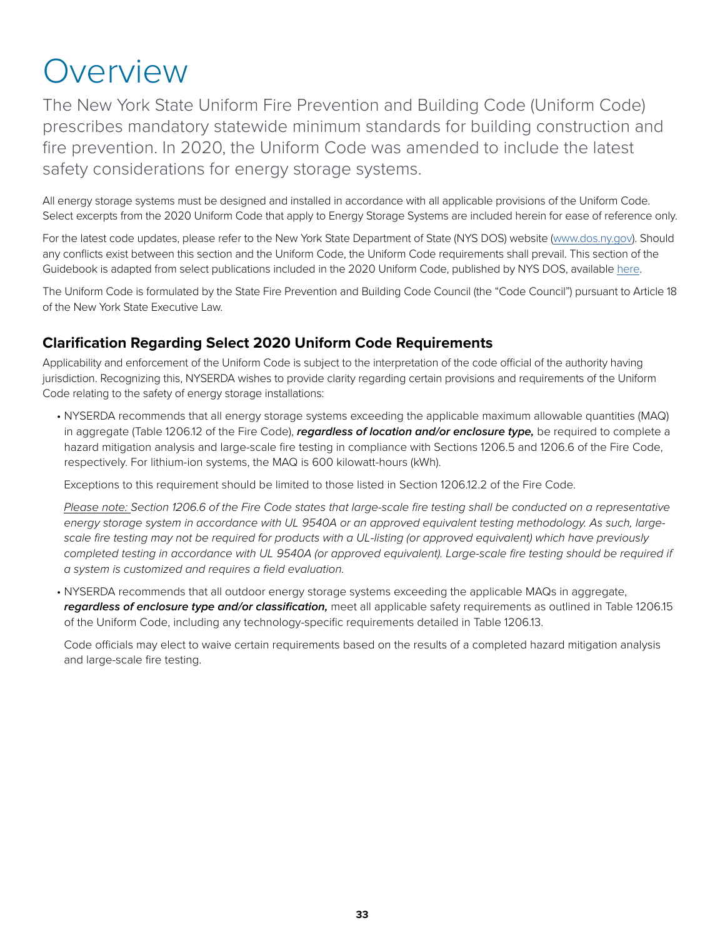# **Overview**

The New York State Uniform Fire Prevention and Building Code (Uniform Code) prescribes mandatory statewide minimum standards for building construction and fire prevention. In 2020, the Uniform Code was amended to include the latest safety considerations for energy storage systems.

All energy storage systems must be designed and installed in accordance with all applicable provisions of the Uniform Code. Select excerpts from the 2020 Uniform Code that apply to Energy Storage Systems are included herein for ease of reference only.

For the latest code updates, please refer to the New York State Department of State (NYS DOS) website [\(www.dos.ny.gov\)](http://www.dos.ny.gov). Should any conflicts exist between this section and the Uniform Code, the Uniform Code requirements shall prevail. This section of the Guidebook is adapted from select publications included in the 2020 Uniform Code, published by NYS DOS, available [here](https://www.dos.ny.gov/dcea/noticadopt.html).

The Uniform Code is formulated by the State Fire Prevention and Building Code Council (the "Code Council") pursuant to Article 18 of the New York State Executive Law.

# **Clarification Regarding Select 2020 Uniform Code Requirements**

Applicability and enforcement of the Uniform Code is subject to the interpretation of the code official of the authority having jurisdiction. Recognizing this, NYSERDA wishes to provide clarity regarding certain provisions and requirements of the Uniform Code relating to the safety of energy storage installations:

• NYSERDA recommends that all energy storage systems exceeding the applicable maximum allowable quantities (MAQ) in aggregate (Table 1206.12 of the Fire Code), **regardless of location and/or enclosure type,** be required to complete a hazard mitigation analysis and large-scale fire testing in compliance with Sections 1206.5 and 1206.6 of the Fire Code, respectively. For lithium-ion systems, the MAQ is 600 kilowatt-hours (kWh).

Exceptions to this requirement should be limited to those listed in Section 1206.12.2 of the Fire Code.

*Please note: Section 1206.6 of the Fire Code states that large-scale fire testing shall be conducted on a representative energy storage system in accordance with UL 9540A or an approved equivalent testing methodology. As such, largescale fire testing may not be required for products with a UL-listing (or approved equivalent) which have previously*  completed testing in accordance with UL 9540A (or approved equivalent). Large-scale fire testing should be required if *a system is customized and requires a field evaluation.* 

• NYSERDA recommends that all outdoor energy storage systems exceeding the applicable MAQs in aggregate, **regardless of enclosure type and/or classification,** meet all applicable safety requirements as outlined in Table 1206.15 of the Uniform Code, including any technology-specific requirements detailed in Table 1206.13.

Code officials may elect to waive certain requirements based on the results of a completed hazard mitigation analysis and large-scale fire testing.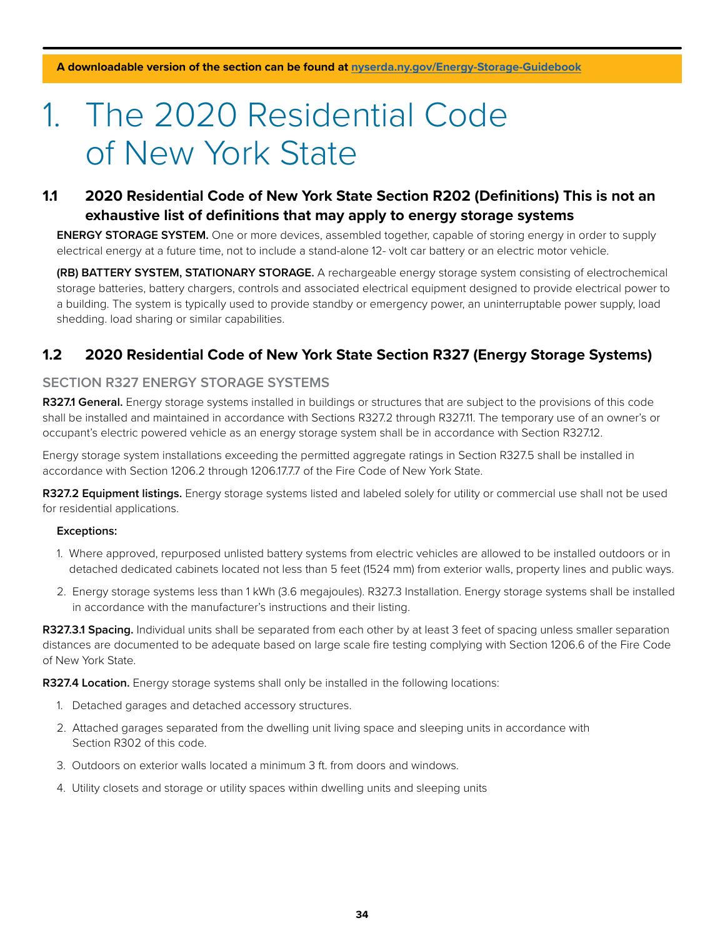# 1. The 2020 Residential Code of New York State

### **1.1 2020 Residential Code of New York State Section R202 (Definitions) This is not an exhaustive list of definitions that may apply to energy storage systems**

**ENERGY STORAGE SYSTEM.** One or more devices, assembled together, capable of storing energy in order to supply electrical energy at a future time, not to include a stand-alone 12- volt car battery or an electric motor vehicle.

**(RB) BATTERY SYSTEM, STATIONARY STORAGE.** A rechargeable energy storage system consisting of electrochemical storage batteries, battery chargers, controls and associated electrical equipment designed to provide electrical power to a building. The system is typically used to provide standby or emergency power, an uninterruptable power supply, load shedding. load sharing or similar capabilities.

### **1.2 2020 Residential Code of New York State Section R327 (Energy Storage Systems)**

#### **SECTION R327 ENERGY STORAGE SYSTEMS**

**R327.1 General.** Energy storage systems installed in buildings or structures that are subject to the provisions of this code shall be installed and maintained in accordance with Sections R327.2 through R327.11. The temporary use of an owner's or occupant's electric powered vehicle as an energy storage system shall be in accordance with Section R327.12.

Energy storage system installations exceeding the permitted aggregate ratings in Section R327.5 shall be installed in accordance with Section 1206.2 through 1206.17.7.7 of the Fire Code of New York State.

**R327.2 Equipment listings.** Energy storage systems listed and labeled solely for utility or commercial use shall not be used for residential applications.

#### **Exceptions:**

- 1. Where approved, repurposed unlisted battery systems from electric vehicles are allowed to be installed outdoors or in detached dedicated cabinets located not less than 5 feet (1524 mm) from exterior walls, property lines and public ways.
- 2. Energy storage systems less than 1 kWh (3.6 megajoules). R327.3 Installation. Energy storage systems shall be installed in accordance with the manufacturer's instructions and their listing.

**R327.3.1 Spacing.** Individual units shall be separated from each other by at least 3 feet of spacing unless smaller separation distances are documented to be adequate based on large scale fire testing complying with Section 1206.6 of the Fire Code of New York State.

**R327.4 Location.** Energy storage systems shall only be installed in the following locations:

- 1. Detached garages and detached accessory structures.
- 2. Attached garages separated from the dwelling unit living space and sleeping units in accordance with Section R302 of this code.
- 3. Outdoors on exterior walls located a minimum 3 ft. from doors and windows.
- 4. Utility closets and storage or utility spaces within dwelling units and sleeping units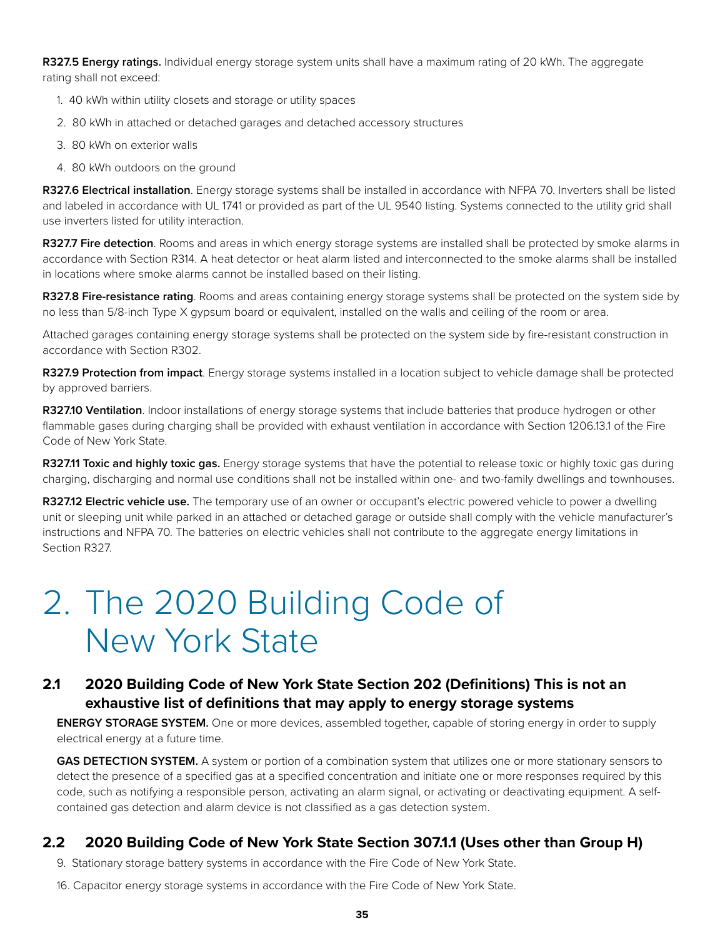**R327.5 Energy ratings.** Individual energy storage system units shall have a maximum rating of 20 kWh. The aggregate rating shall not exceed:

- 1. 40 kWh within utility closets and storage or utility spaces
- 2. 80 kWh in attached or detached garages and detached accessory structures
- 3. 80 kWh on exterior walls
- 4. 80 kWh outdoors on the ground

**R327.6 Electrical installation**. Energy storage systems shall be installed in accordance with NFPA 70. Inverters shall be listed and labeled in accordance with UL 1741 or provided as part of the UL 9540 listing. Systems connected to the utility grid shall use inverters listed for utility interaction.

**R327.7 Fire detection**. Rooms and areas in which energy storage systems are installed shall be protected by smoke alarms in accordance with Section R314. A heat detector or heat alarm listed and interconnected to the smoke alarms shall be installed in locations where smoke alarms cannot be installed based on their listing.

**R327.8 Fire-resistance rating**. Rooms and areas containing energy storage systems shall be protected on the system side by no less than 5/8-inch Type X gypsum board or equivalent, installed on the walls and ceiling of the room or area.

Attached garages containing energy storage systems shall be protected on the system side by fire-resistant construction in accordance with Section R302.

**R327.9 Protection from impact**. Energy storage systems installed in a location subject to vehicle damage shall be protected by approved barriers.

**R327.10 Ventilation**. Indoor installations of energy storage systems that include batteries that produce hydrogen or other flammable gases during charging shall be provided with exhaust ventilation in accordance with Section 1206.13.1 of the Fire Code of New York State.

**R327.11 Toxic and highly toxic gas.** Energy storage systems that have the potential to release toxic or highly toxic gas during charging, discharging and normal use conditions shall not be installed within one- and two-family dwellings and townhouses.

**R327.12 Electric vehicle use.** The temporary use of an owner or occupant's electric powered vehicle to power a dwelling unit or sleeping unit while parked in an attached or detached garage or outside shall comply with the vehicle manufacturer's instructions and NFPA 70. The batteries on electric vehicles shall not contribute to the aggregate energy limitations in Section R327.

# 2. The 2020 Building Code of New York State

### **2.1 2020 Building Code of New York State Section 202 (Definitions) This is not an exhaustive list of definitions that may apply to energy storage systems**

**ENERGY STORAGE SYSTEM.** One or more devices, assembled together, capable of storing energy in order to supply electrical energy at a future time.

**GAS DETECTION SYSTEM.** A system or portion of a combination system that utilizes one or more stationary sensors to detect the presence of a specified gas at a specified concentration and initiate one or more responses required by this code, such as notifying a responsible person, activating an alarm signal, or activating or deactivating equipment. A selfcontained gas detection and alarm device is not classified as a gas detection system.

#### **2.2 2020 Building Code of New York State Section 307.1.1 (Uses other than Group H)**

- 9. Stationary storage battery systems in accordance with the Fire Code of New York State.
- 16. Capacitor energy storage systems in accordance with the Fire Code of New York State.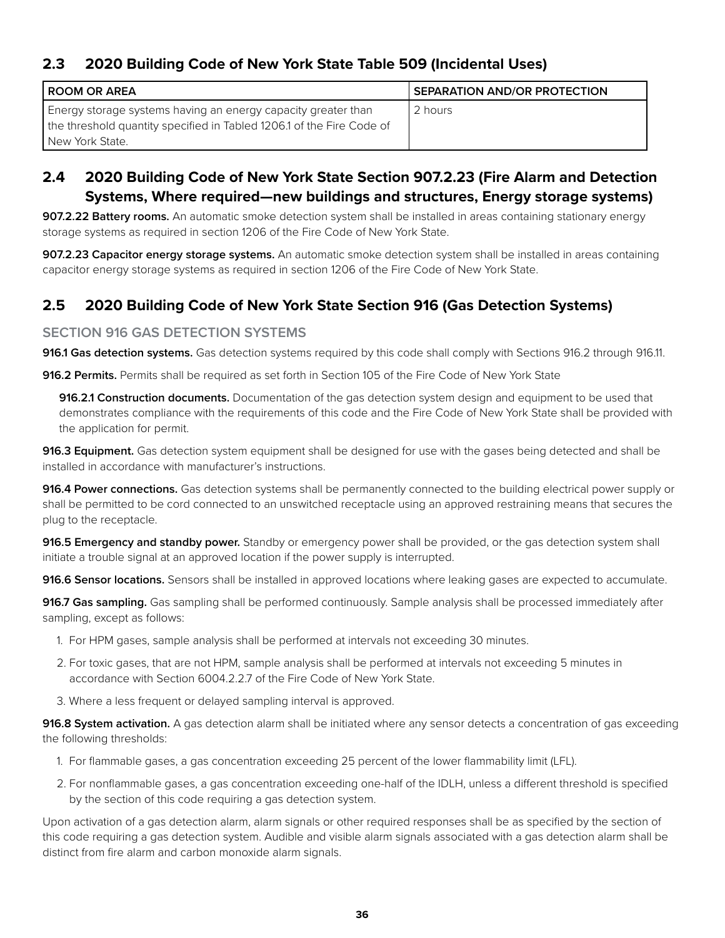### **2.3 2020 Building Code of New York State Table 509 (Incidental Uses)**

| I ROOM OR AREA                                                                                                                                              | <b>SEPARATION AND/OR PROTECTION</b> |
|-------------------------------------------------------------------------------------------------------------------------------------------------------------|-------------------------------------|
| Energy storage systems having an energy capacity greater than<br>the threshold quantity specified in Tabled 1206.1 of the Fire Code of<br>l New York State. | 2 hours                             |

# **2.4 2020 Building Code of New York State Section 907.2.23 (Fire Alarm and Detection Systems, Where required—new buildings and structures, Energy storage systems)**

**907.2.22 Battery rooms.** An automatic smoke detection system shall be installed in areas containing stationary energy storage systems as required in section 1206 of the Fire Code of New York State.

**907.2.23 Capacitor energy storage systems.** An automatic smoke detection system shall be installed in areas containing capacitor energy storage systems as required in section 1206 of the Fire Code of New York State.

# **2.5 2020 Building Code of New York State Section 916 (Gas Detection Systems)**

#### **SECTION 916 GAS DETECTION SYSTEMS**

**916.1 Gas detection systems.** Gas detection systems required by this code shall comply with Sections 916.2 through 916.11.

**916.2 Permits.** Permits shall be required as set forth in Section 105 of the Fire Code of New York State

 **916.2.1 Construction documents.** Documentation of the gas detection system design and equipment to be used that demonstrates compliance with the requirements of this code and the Fire Code of New York State shall be provided with the application for permit.

**916.3 Equipment.** Gas detection system equipment shall be designed for use with the gases being detected and shall be installed in accordance with manufacturer's instructions.

**916.4 Power connections.** Gas detection systems shall be permanently connected to the building electrical power supply or shall be permitted to be cord connected to an unswitched receptacle using an approved restraining means that secures the plug to the receptacle.

**916.5 Emergency and standby power.** Standby or emergency power shall be provided, or the gas detection system shall initiate a trouble signal at an approved location if the power supply is interrupted.

**916.6 Sensor locations.** Sensors shall be installed in approved locations where leaking gases are expected to accumulate.

**916.7 Gas sampling.** Gas sampling shall be performed continuously. Sample analysis shall be processed immediately after sampling, except as follows:

- 1. For HPM gases, sample analysis shall be performed at intervals not exceeding 30 minutes.
- 2. For toxic gases, that are not HPM, sample analysis shall be performed at intervals not exceeding 5 minutes in accordance with Section 6004.2.2.7 of the Fire Code of New York State.
- 3. Where a less frequent or delayed sampling interval is approved.

**916.8 System activation.** A gas detection alarm shall be initiated where any sensor detects a concentration of gas exceeding the following thresholds:

- 1. For flammable gases, a gas concentration exceeding 25 percent of the lower flammability limit (LFL).
- 2. For nonflammable gases, a gas concentration exceeding one-half of the IDLH, unless a different threshold is specified by the section of this code requiring a gas detection system.

Upon activation of a gas detection alarm, alarm signals or other required responses shall be as specified by the section of this code requiring a gas detection system. Audible and visible alarm signals associated with a gas detection alarm shall be distinct from fire alarm and carbon monoxide alarm signals.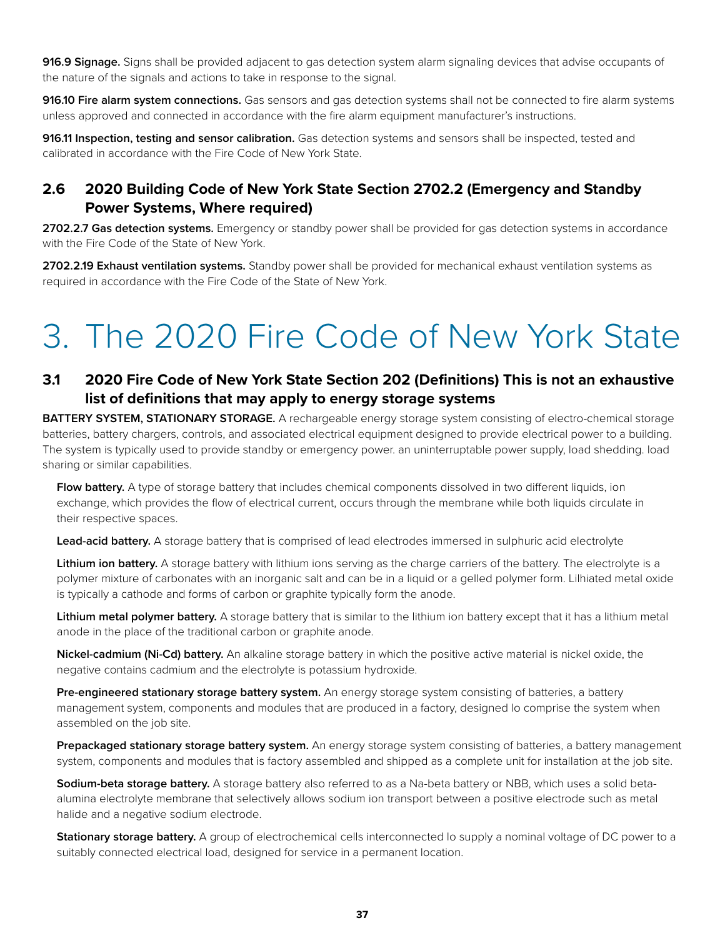**916.9 Signage.** Signs shall be provided adjacent to gas detection system alarm signaling devices that advise occupants of the nature of the signals and actions to take in response to the signal.

**916.10 Fire alarm system connections.** Gas sensors and gas detection systems shall not be connected to fire alarm systems unless approved and connected in accordance with the fire alarm equipment manufacturer's instructions.

**916.11 Inspection, testing and sensor calibration.** Gas detection systems and sensors shall be inspected, tested and calibrated in accordance with the Fire Code of New York State.

# **2.6 2020 Building Code of New York State Section 2702.2 (Emergency and Standby Power Systems, Where required)**

2702.2.7 Gas detection systems. Emergency or standby power shall be provided for gas detection systems in accordance with the Fire Code of the State of New York.

**2702.2.19 Exhaust ventilation systems.** Standby power shall be provided for mechanical exhaust ventilation systems as required in accordance with the Fire Code of the State of New York.

# 3. The 2020 Fire Code of New York State

# **3.1 2020 Fire Code of New York State Section 202 (Definitions) This is not an exhaustive list of definitions that may apply to energy storage systems**

**BATTERY SYSTEM, STATIONARY STORAGE.** A rechargeable energy storage system consisting of electro-chemical storage batteries, battery chargers, controls, and associated electrical equipment designed to provide electrical power to a building. The system is typically used to provide standby or emergency power. an uninterruptable power supply, load shedding. load sharing or similar capabilities.

**Flow battery.** A type of storage battery that includes chemical components dissolved in two different liquids, ion exchange, which provides the flow of electrical current, occurs through the membrane while both liquids circulate in their respective spaces.

**Lead-acid battery.** A storage battery that is comprised of lead electrodes immersed in sulphuric acid electrolyte

**Lithium ion battery.** A storage battery with lithium ions serving as the charge carriers of the battery. The electrolyte is a polymer mixture of carbonates with an inorganic salt and can be in a liquid or a gelled polymer form. Lilhiated metal oxide is typically a cathode and forms of carbon or graphite typically form the anode.

**Lithium metal polymer battery.** A storage battery that is similar to the lithium ion battery except that it has a lithium metal anode in the place of the traditional carbon or graphite anode.

**Nickel-cadmium (Ni-Cd) battery.** An alkaline storage battery in which the positive active material is nickel oxide, the negative contains cadmium and the electrolyte is potassium hydroxide.

**Pre-engineered stationary storage battery system.** An energy storage system consisting of batteries, a battery management system, components and modules that are produced in a factory, designed lo comprise the system when assembled on the job site.

**Prepackaged stationary storage battery system.** An energy storage system consisting of batteries, a battery management system, components and modules that is factory assembled and shipped as a complete unit for installation at the job site.

**Sodium-beta storage battery.** A storage battery also referred to as a Na-beta battery or NBB, which uses a solid betaalumina electrolyte membrane that selectively allows sodium ion transport between a positive electrode such as metal halide and a negative sodium electrode.

**Stationary storage battery.** A group of electrochemical cells interconnected lo supply a nominal voltage of DC power to a suitably connected electrical load, designed for service in a permanent location.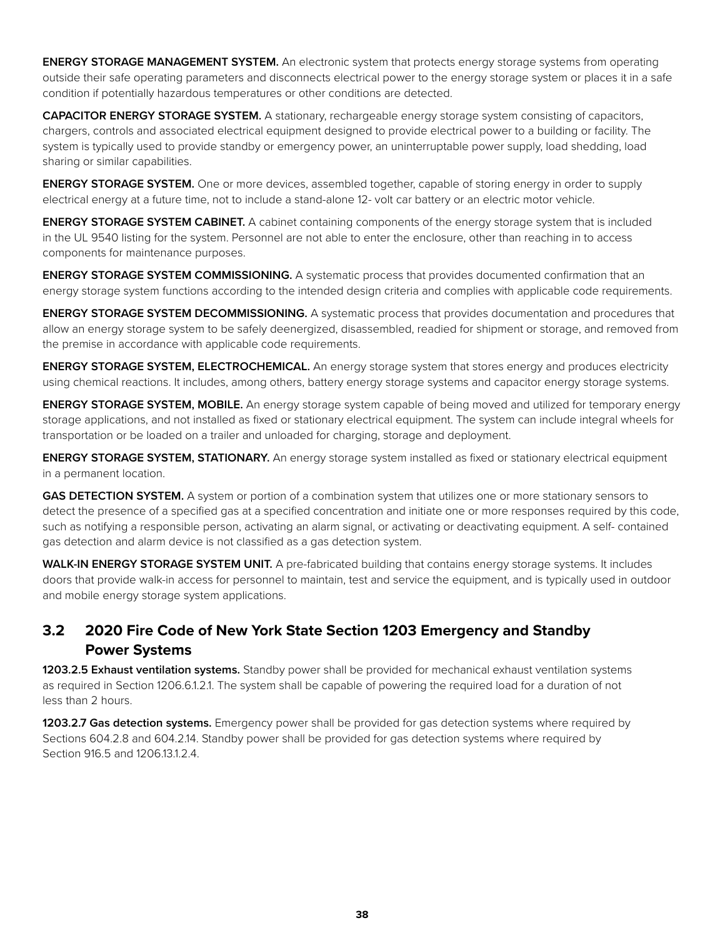**ENERGY STORAGE MANAGEMENT SYSTEM.** An electronic system that protects energy storage systems from operating outside their safe operating parameters and disconnects electrical power to the energy storage system or places it in a safe condition if potentially hazardous temperatures or other conditions are detected.

**CAPACITOR ENERGY STORAGE SYSTEM.** A stationary, rechargeable energy storage system consisting of capacitors, chargers, controls and associated electrical equipment designed to provide electrical power to a building or facility. The system is typically used to provide standby or emergency power, an uninterruptable power supply, load shedding, load sharing or similar capabilities.

**ENERGY STORAGE SYSTEM.** One or more devices, assembled together, capable of storing energy in order to supply electrical energy at a future time, not to include a stand-alone 12- volt car battery or an electric motor vehicle.

**ENERGY STORAGE SYSTEM CABINET.** A cabinet containing components of the energy storage system that is included in the UL 9540 listing for the system. Personnel are not able to enter the enclosure, other than reaching in to access components for maintenance purposes.

**ENERGY STORAGE SYSTEM COMMISSIONING.** A systematic process that provides documented confirmation that an energy storage system functions according to the intended design criteria and complies with applicable code requirements.

**ENERGY STORAGE SYSTEM DECOMMISSIONING.** A systematic process that provides documentation and procedures that allow an energy storage system to be safely deenergized, disassembled, readied for shipment or storage, and removed from the premise in accordance with applicable code requirements.

**ENERGY STORAGE SYSTEM, ELECTROCHEMICAL.** An energy storage system that stores energy and produces electricity using chemical reactions. It includes, among others, battery energy storage systems and capacitor energy storage systems.

**ENERGY STORAGE SYSTEM, MOBILE.** An energy storage system capable of being moved and utilized for temporary energy storage applications, and not installed as fixed or stationary electrical equipment. The system can include integral wheels for transportation or be loaded on a trailer and unloaded for charging, storage and deployment.

**ENERGY STORAGE SYSTEM, STATIONARY.** An energy storage system installed as fixed or stationary electrical equipment in a permanent location.

**GAS DETECTION SYSTEM.** A system or portion of a combination system that utilizes one or more stationary sensors to detect the presence of a specified gas at a specified concentration and initiate one or more responses required by this code, such as notifying a responsible person, activating an alarm signal, or activating or deactivating equipment. A self- contained gas detection and alarm device is not classified as a gas detection system.

WALK-IN ENERGY STORAGE SYSTEM UNIT. A pre-fabricated building that contains energy storage systems. It includes doors that provide walk-in access for personnel to maintain, test and service the equipment, and is typically used in outdoor and mobile energy storage system applications.

### **3.2 2020 Fire Code of New York State Section 1203 Emergency and Standby Power Systems**

**1203.2.5 Exhaust ventilation systems.** Standby power shall be provided for mechanical exhaust ventilation systems as required in Section 1206.6.1.2.1. The system shall be capable of powering the required load for a duration of not less than 2 hours.

**1203.2.7 Gas detection systems.** Emergency power shall be provided for gas detection systems where required by Sections 604.2.8 and 604.2.14. Standby power shall be provided for gas detection systems where required by Section 916.5 and 1206.13.1.2.4.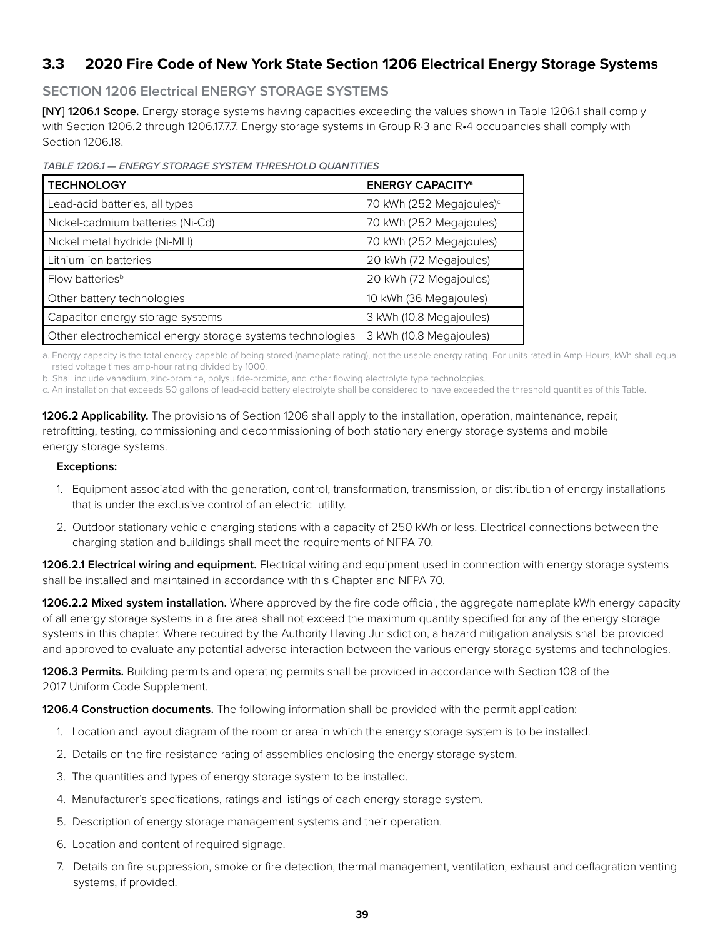### **3.3 2020 Fire Code of New York State Section 1206 Electrical Energy Storage Systems**

#### **SECTION 1206 Electrical ENERGY STORAGE SYSTEMS**

**[NY] 1206.1 Scope.** Energy storage systems having capacities exceeding the values shown in Table 1206.1 shall comply with Section 1206.2 through 1206.17.7.7. Energy storage systems in Group R-3 and R-4 occupancies shall comply with Section 1206.18.

*TABLE 1206.1 — ENERGY STORAGE SYSTEM THRESHOLD QUANTITIES*

| <b>TECHNOLOGY</b>                                         | <b>ENERGY CAPACITY®</b>              |
|-----------------------------------------------------------|--------------------------------------|
| Lead-acid batteries, all types                            | 70 kWh (252 Megajoules) <sup>c</sup> |
| Nickel-cadmium batteries (Ni-Cd)                          | 70 kWh (252 Megajoules)              |
| Nickel metal hydride (Ni-MH)                              | 70 kWh (252 Megajoules)              |
| Lithium-ion batteries                                     | 20 kWh (72 Megajoules)               |
| Flow batteries <sup>b</sup>                               | 20 kWh (72 Megajoules)               |
| Other battery technologies                                | 10 kWh (36 Megajoules)               |
| Capacitor energy storage systems                          | 3 kWh (10.8 Megajoules)              |
| Other electrochemical energy storage systems technologies | 3 kWh (10.8 Megajoules)              |

a. Energy capacity is the total energy capable of being stored (nameplate rating), not the usable energy rating. For units rated in Amp-Hours, kWh shall equal rated voltage times amp-hour rating divided by 1000.

b. Shall include vanadium, zinc-bromine, polysulfde-bromide, and other flowing electrolyte type technologies.

c. An installation that exceeds 50 gallons of lead-acid battery electrolyte shall be considered to have exceeded the threshold quantities of this Table.

**1206.2 Applicability.** The provisions of Section 1206 shall apply to the installation, operation, maintenance, repair, retrofitting, testing, commissioning and decommissioning of both stationary energy storage systems and mobile energy storage systems.

#### **Exceptions:**

- 1. Equipment associated with the generation, control, transformation, transmission, or distribution of energy installations that is under the exclusive control of an electric utility.
- 2. Outdoor stationary vehicle charging stations with a capacity of 250 kWh or less. Electrical connections between the charging station and buildings shall meet the requirements of NFPA 70.

**1206.2.1 Electrical wiring and equipment.** Electrical wiring and equipment used in connection with energy storage systems shall be installed and maintained in accordance with this Chapter and NFPA 70.

**1206.2.2 Mixed system installation.** Where approved by the fire code official, the aggregate nameplate kWh energy capacity of all energy storage systems in a fire area shall not exceed the maximum quantity specified for any of the energy storage systems in this chapter. Where required by the Authority Having Jurisdiction, a hazard mitigation analysis shall be provided and approved to evaluate any potential adverse interaction between the various energy storage systems and technologies.

**1206.3 Permits.** Building permits and operating permits shall be provided in accordance with Section 108 of the 2017 Uniform Code Supplement.

**1206.4 Construction documents.** The following information shall be provided with the permit application:

- 1. Location and layout diagram of the room or area in which the energy storage system is to be installed.
- 2. Details on the fire-resistance rating of assemblies enclosing the energy storage system.
- 3. The quantities and types of energy storage system to be installed.
- 4. Manufacturer's specifications, ratings and listings of each energy storage system.
- 5. Description of energy storage management systems and their operation.
- 6. Location and content of required signage.
- 7. Details on fire suppression, smoke or fire detection, thermal management, ventilation, exhaust and deflagration venting systems, if provided.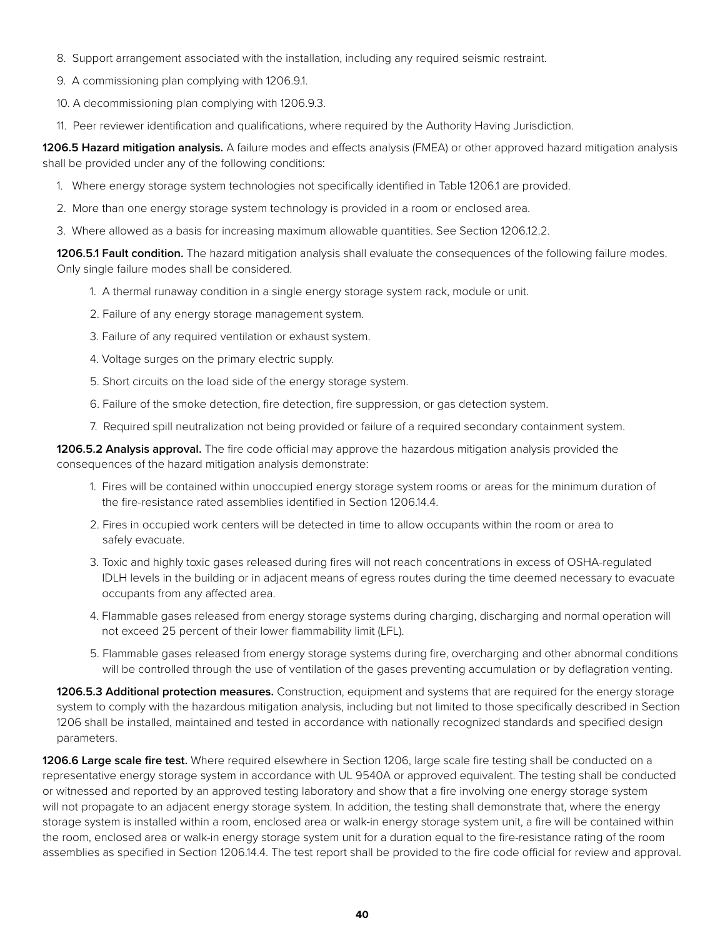- 8. Support arrangement associated with the installation, including any required seismic restraint.
- 9. A commissioning plan complying with 1206.9.1.
- 10. A decommissioning plan complying with 1206.9.3.
- 11. Peer reviewer identification and qualifications, where required by the Authority Having Jurisdiction.

**1206.5 Hazard mitigation analysis.** A failure modes and effects analysis (FMEA) or other approved hazard mitigation analysis shall be provided under any of the following conditions:

- 1. Where energy storage system technologies not specifically identified in Table 1206.1 are provided.
- 2. More than one energy storage system technology is provided in a room or enclosed area.
- 3. Where allowed as a basis for increasing maximum allowable quantities. See Section 1206.12.2.

**1206.5.1 Fault condition.** The hazard mitigation analysis shall evaluate the consequences of the following failure modes. Only single failure modes shall be considered.

- 1. A thermal runaway condition in a single energy storage system rack, module or unit.
- 2. Failure of any energy storage management system.
- 3. Failure of any required ventilation or exhaust system.
- 4. Voltage surges on the primary electric supply.
- 5. Short circuits on the load side of the energy storage system.
- 6. Failure of the smoke detection, fire detection, fire suppression, or gas detection system.
- 7. Required spill neutralization not being provided or failure of a required secondary containment system.

**1206.5.2 Analysis approval.** The fire code official may approve the hazardous mitigation analysis provided the consequences of the hazard mitigation analysis demonstrate:

- 1. Fires will be contained within unoccupied energy storage system rooms or areas for the minimum duration of the fire-resistance rated assemblies identified in Section 1206.14.4.
- 2. Fires in occupied work centers will be detected in time to allow occupants within the room or area to safely evacuate.
- 3. Toxic and highly toxic gases released during fires will not reach concentrations in excess of OSHA-regulated IDLH levels in the building or in adjacent means of egress routes during the time deemed necessary to evacuate occupants from any affected area.
- 4. Flammable gases released from energy storage systems during charging, discharging and normal operation will not exceed 25 percent of their lower flammability limit (LFL).
- 5. Flammable gases released from energy storage systems during fire, overcharging and other abnormal conditions will be controlled through the use of ventilation of the gases preventing accumulation or by deflagration venting.

**1206.5.3 Additional protection measures.** Construction, equipment and systems that are required for the energy storage system to comply with the hazardous mitigation analysis, including but not limited to those specifically described in Section 1206 shall be installed, maintained and tested in accordance with nationally recognized standards and specified design parameters.

**1206.6 Large scale fire test.** Where required elsewhere in Section 1206, large scale fire testing shall be conducted on a representative energy storage system in accordance with UL 9540A or approved equivalent. The testing shall be conducted or witnessed and reported by an approved testing laboratory and show that a fire involving one energy storage system will not propagate to an adjacent energy storage system. In addition, the testing shall demonstrate that, where the energy storage system is installed within a room, enclosed area or walk-in energy storage system unit, a fire will be contained within the room, enclosed area or walk-in energy storage system unit for a duration equal to the fire-resistance rating of the room assemblies as specified in Section 1206.14.4. The test report shall be provided to the fire code official for review and approval.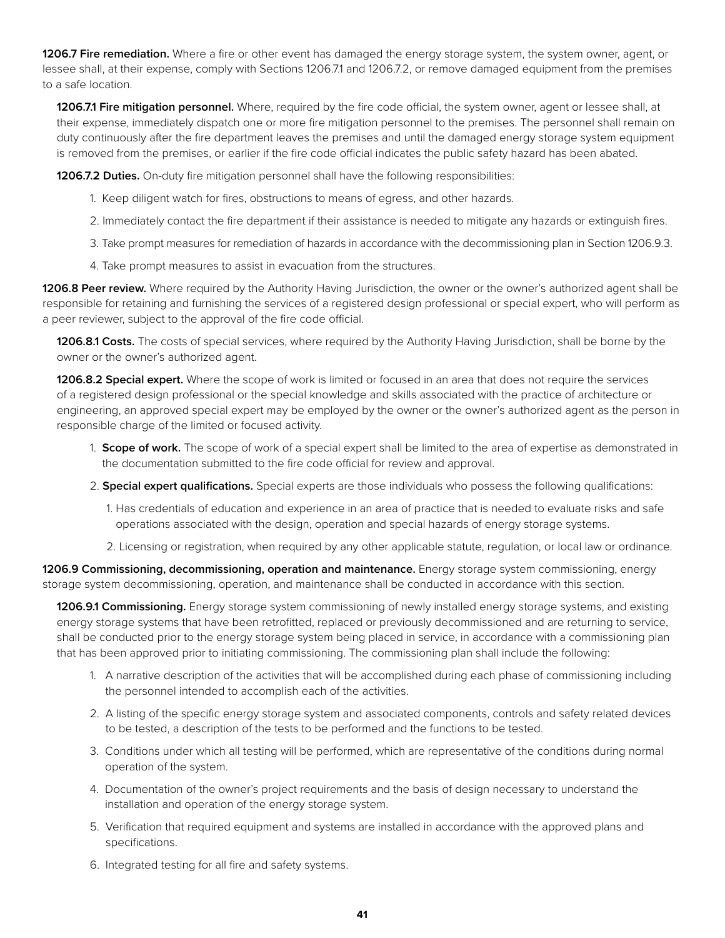**1206.7 Fire remediation.** Where a fire or other event has damaged the energy storage system, the system owner, agent, or lessee shall, at their expense, comply with Sections 1206.7.1 and 1206.7.2, or remove damaged equipment from the premises to a safe location.

**1206.7.1 Fire mitigation personnel.** Where, required by the fire code official, the system owner, agent or lessee shall, at their expense, immediately dispatch one or more fire mitigation personnel to the premises. The personnel shall remain on duty continuously after the fire department leaves the premises and until the damaged energy storage system equipment is removed from the premises, or earlier if the fire code official indicates the public safety hazard has been abated.

**1206.7.2 Duties.** On-duty fire mitigation personnel shall have the following responsibilities:

- 1. Keep diligent watch for fires, obstructions to means of egress, and other hazards.
- 2. Immediately contact the fire department if their assistance is needed to mitigate any hazards or extinguish fires.
- 3. Take prompt measures for remediation of hazards in accordance with the decommissioning plan in Section 1206.9.3.
- 4. Take prompt measures to assist in evacuation from the structures.

**1206.8 Peer review.** Where required by the Authority Having Jurisdiction, the owner or the owner's authorized agent shall be responsible for retaining and furnishing the services of a registered design professional or special expert, who will perform as a peer reviewer, subject to the approval of the fire code official.

**1206.8.1 Costs.** The costs of special services, where required by the Authority Having Jurisdiction, shall be borne by the owner or the owner's authorized agent.

**1206.8.2 Special expert.** Where the scope of work is limited or focused in an area that does not require the services of a registered design professional or the special knowledge and skills associated with the practice of architecture or engineering, an approved special expert may be employed by the owner or the owner's authorized agent as the person in responsible charge of the limited or focused activity.

- 1. **Scope of work.** The scope of work of a special expert shall be limited to the area of expertise as demonstrated in the documentation submitted to the fire code official for review and approval.
- 2. **Special expert qualifications.** Special experts are those individuals who possess the following qualifications:
	- 1. Has credentials of education and experience in an area of practice that is needed to evaluate risks and safe operations associated with the design, operation and special hazards of energy storage systems.
	- 2. Licensing or registration, when required by any other applicable statute, regulation, or local law or ordinance.

**1206.9 Commissioning, decommissioning, operation and maintenance.** Energy storage system commissioning, energy storage system decommissioning, operation, and maintenance shall be conducted in accordance with this section.

**1206.9.1 Commissioning.** Energy storage system commissioning of newly installed energy storage systems, and existing energy storage systems that have been retrofitted, replaced or previously decommissioned and are returning to service, shall be conducted prior to the energy storage system being placed in service, in accordance with a commissioning plan that has been approved prior to initiating commissioning. The commissioning plan shall include the following:

- 1. A narrative description of the activities that will be accomplished during each phase of commissioning including the personnel intended to accomplish each of the activities.
- 2. A listing of the specific energy storage system and associated components, controls and safety related devices to be tested, a description of the tests to be performed and the functions to be tested.
- 3. Conditions under which all testing will be performed, which are representative of the conditions during normal operation of the system.
- 4. Documentation of the owner's project requirements and the basis of design necessary to understand the installation and operation of the energy storage system.
- 5. Verification that required equipment and systems are installed in accordance with the approved plans and specifications.
- 6. Integrated testing for all fire and safety systems.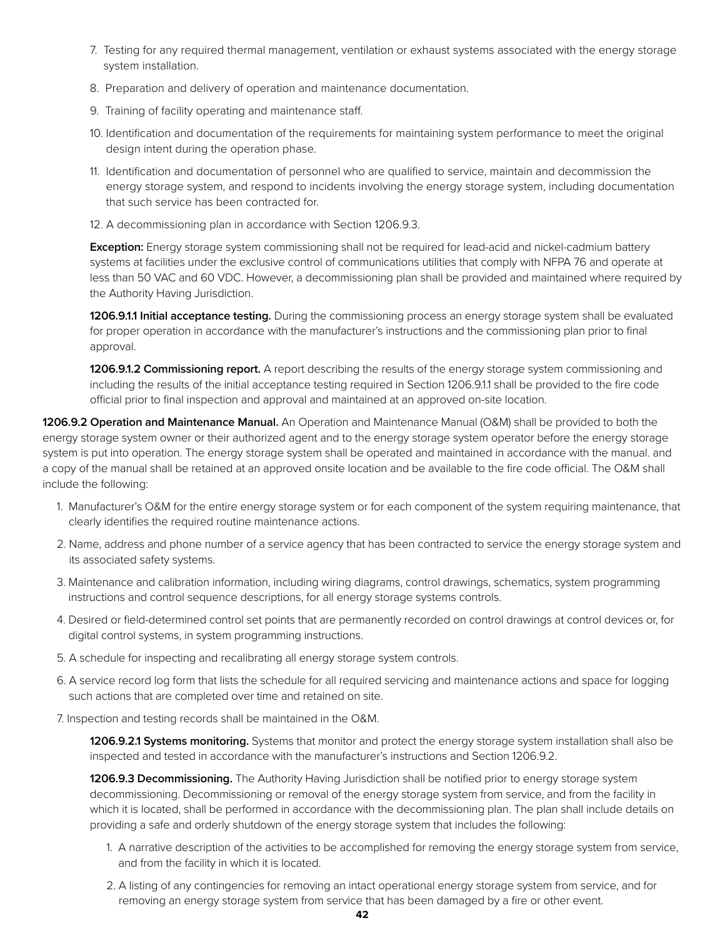- 7. Testing for any required thermal management, ventilation or exhaust systems associated with the energy storage system installation.
- 8. Preparation and delivery of operation and maintenance documentation.
- 9. Training of facility operating and maintenance staff.
- 10. Identification and documentation of the requirements for maintaining system performance to meet the original design intent during the operation phase.
- 11. Identification and documentation of personnel who are qualified to service, maintain and decommission the energy storage system, and respond to incidents involving the energy storage system, including documentation that such service has been contracted for.
- 12. A decommissioning plan in accordance with Section 1206.9.3.

**Exception:** Energy storage system commissioning shall not be required for lead-acid and nickel-cadmium battery systems at facilities under the exclusive control of communications utilities that comply with NFPA 76 and operate at less than 50 VAC and 60 VDC. However, a decommissioning plan shall be provided and maintained where required by the Authority Having Jurisdiction.

**1206.9.1.1 Initial acceptance testing.** During the commissioning process an energy storage system shall be evaluated for proper operation in accordance with the manufacturer's instructions and the commissioning plan prior to final approval.

**1206.9.1.2 Commissioning report.** A report describing the results of the energy storage system commissioning and including the results of the initial acceptance testing required in Section 1206.9.1.1 shall be provided to the fire code official prior to final inspection and approval and maintained at an approved on-site location.

**1206.9.2 Operation and Maintenance Manual.** An Operation and Maintenance Manual (O&M) shall be provided to both the energy storage system owner or their authorized agent and to the energy storage system operator before the energy storage system is put into operation. The energy storage system shall be operated and maintained in accordance with the manual. and a copy of the manual shall be retained at an approved onsite location and be available to the fire code official. The O&M shall include the following:

- 1. Manufacturer's O&M for the entire energy storage system or for each component of the system requiring maintenance, that clearly identifies the required routine maintenance actions.
- 2. Name, address and phone number of a service agency that has been contracted to service the energy storage system and its associated safety systems.
- 3. Maintenance and calibration information, including wiring diagrams, control drawings, schematics, system programming instructions and control sequence descriptions, for all energy storage systems controls.
- 4. Desired or field-determined control set points that are permanently recorded on control drawings at control devices or, for digital control systems, in system programming instructions.
- 5. A schedule for inspecting and recalibrating all energy storage system controls.
- 6. A service record log form that lists the schedule for all required servicing and maintenance actions and space for logging such actions that are completed over time and retained on site.
- 7. Inspection and testing records shall be maintained in the O&M.

**1206.9.2.1 Systems monitoring.** Systems that monitor and protect the energy storage system installation shall also be inspected and tested in accordance with the manufacturer's instructions and Section 1206.9.2.

**1206.9.3 Decommissioning.** The Authority Having Jurisdiction shall be notified prior to energy storage system decommissioning. Decommissioning or removal of the energy storage system from service, and from the facility in which it is located, shall be performed in accordance with the decommissioning plan. The plan shall include details on providing a safe and orderly shutdown of the energy storage system that includes the following:

- 1. A narrative description of the activities to be accomplished for removing the energy storage system from service, and from the facility in which it is located.
- 2. A listing of any contingencies for removing an intact operational energy storage system from service, and for removing an energy storage system from service that has been damaged by a fire or other event.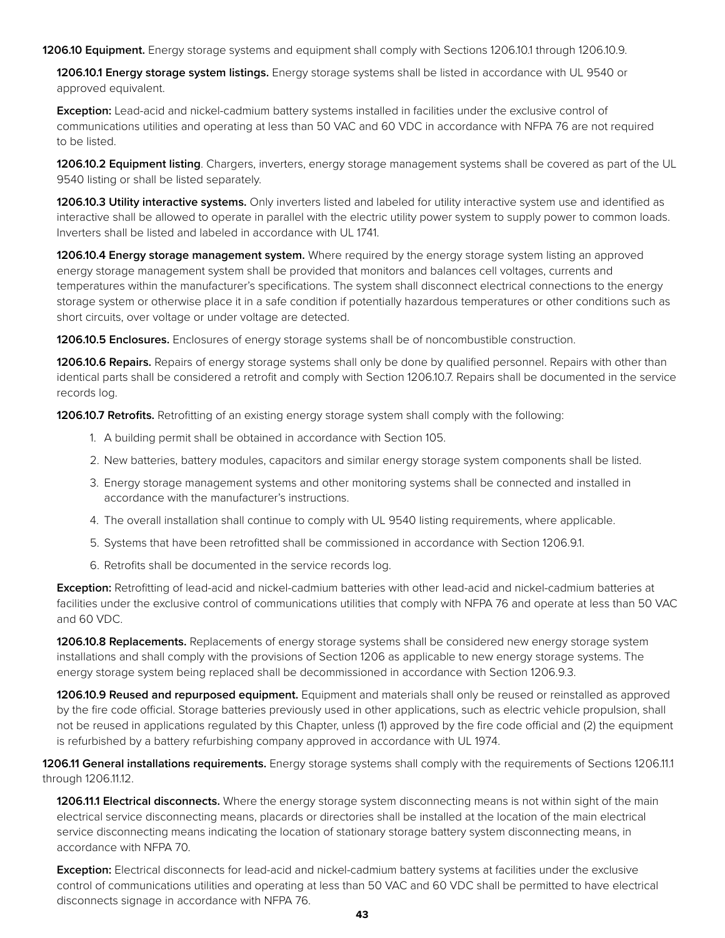**1206.10 Equipment.** Energy storage systems and equipment shall comply with Sections 1206.10.1 through 1206.10.9.

**1206.10.1 Energy storage system listings.** Energy storage systems shall be listed in accordance with UL 9540 or approved equivalent.

**Exception:** Lead-acid and nickel-cadmium battery systems installed in facilities under the exclusive control of communications utilities and operating at less than 50 VAC and 60 VDC in accordance with NFPA 76 are not required to be listed.

**1206.10.2 Equipment listing**. Chargers, inverters, energy storage management systems shall be covered as part of the UL 9540 listing or shall be listed separately.

**1206.10.3 Utility interactive systems.** Only inverters listed and labeled for utility interactive system use and identified as interactive shall be allowed to operate in parallel with the electric utility power system to supply power to common loads. Inverters shall be listed and labeled in accordance with UL 1741.

**1206.10.4 Energy storage management system.** Where required by the energy storage system listing an approved energy storage management system shall be provided that monitors and balances cell voltages, currents and temperatures within the manufacturer's specifications. The system shall disconnect electrical connections to the energy storage system or otherwise place it in a safe condition if potentially hazardous temperatures or other conditions such as short circuits, over voltage or under voltage are detected.

**1206.10.5 Enclosures.** Enclosures of energy storage systems shall be of noncombustible construction.

**1206.10.6 Repairs.** Repairs of energy storage systems shall only be done by qualified personnel. Repairs with other than identical parts shall be considered a retrofit and comply with Section 1206.10.7. Repairs shall be documented in the service records log.

**1206.10.7 Retrofits.** Retrofitting of an existing energy storage system shall comply with the following:

- 1. A building permit shall be obtained in accordance with Section 105.
- 2. New batteries, battery modules, capacitors and similar energy storage system components shall be listed.
- 3. Energy storage management systems and other monitoring systems shall be connected and installed in accordance with the manufacturer's instructions.
- 4. The overall installation shall continue to comply with UL 9540 listing requirements, where applicable.
- 5. Systems that have been retrofitted shall be commissioned in accordance with Section 1206.9.1.
- 6. Retrofits shall be documented in the service records log.

**Exception:** Retrofitting of lead-acid and nickel-cadmium batteries with other lead-acid and nickel-cadmium batteries at facilities under the exclusive control of communications utilities that comply with NFPA 76 and operate at less than 50 VAC and 60 VDC.

**1206.10.8 Replacements.** Replacements of energy storage systems shall be considered new energy storage system installations and shall comply with the provisions of Section 1206 as applicable to new energy storage systems. The energy storage system being replaced shall be decommissioned in accordance with Section 1206.9.3.

**1206.10.9 Reused and repurposed equipment.** Equipment and materials shall only be reused or reinstalled as approved by the fire code official. Storage batteries previously used in other applications, such as electric vehicle propulsion, shall not be reused in applications regulated by this Chapter, unless (1) approved by the fire code official and (2) the equipment is refurbished by a battery refurbishing company approved in accordance with UL 1974.

**1206.11 General installations requirements.** Energy storage systems shall comply with the requirements of Sections 1206.11.1 through 1206.11.12.

**1206.11.1 Electrical disconnects.** Where the energy storage system disconnecting means is not within sight of the main electrical service disconnecting means, placards or directories shall be installed at the location of the main electrical service disconnecting means indicating the location of stationary storage battery system disconnecting means, in accordance with NFPA 70.

**Exception:** Electrical disconnects for lead-acid and nickel-cadmium battery systems at facilities under the exclusive control of communications utilities and operating at less than 50 VAC and 60 VDC shall be permitted to have electrical disconnects signage in accordance with NFPA 76.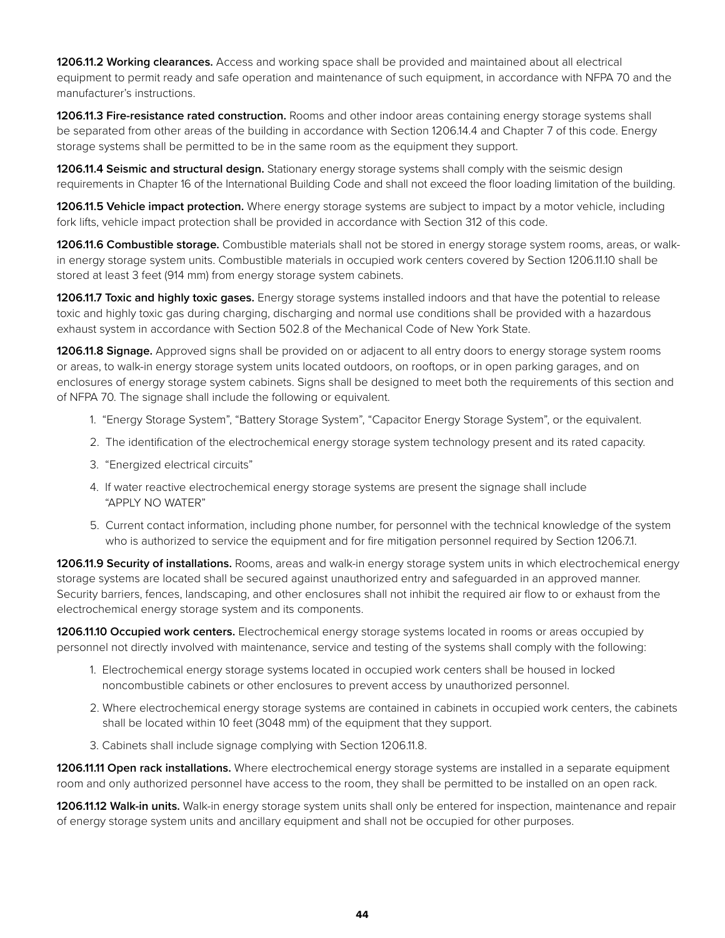**1206.11.2 Working clearances.** Access and working space shall be provided and maintained about all electrical equipment to permit ready and safe operation and maintenance of such equipment, in accordance with NFPA 70 and the manufacturer's instructions.

**1206.11.3 Fire-resistance rated construction.** Rooms and other indoor areas containing energy storage systems shall be separated from other areas of the building in accordance with Section 1206.14.4 and Chapter 7 of this code. Energy storage systems shall be permitted to be in the same room as the equipment they support.

**1206.11.4 Seismic and structural design.** Stationary energy storage systems shall comply with the seismic design requirements in Chapter 16 of the International Building Code and shall not exceed the floor loading limitation of the building.

**1206.11.5 Vehicle impact protection.** Where energy storage systems are subject to impact by a motor vehicle, including fork lifts, vehicle impact protection shall be provided in accordance with Section 312 of this code.

**1206.11.6 Combustible storage.** Combustible materials shall not be stored in energy storage system rooms, areas, or walkin energy storage system units. Combustible materials in occupied work centers covered by Section 1206.11.10 shall be stored at least 3 feet (914 mm) from energy storage system cabinets.

**1206.11.7 Toxic and highly toxic gases.** Energy storage systems installed indoors and that have the potential to release toxic and highly toxic gas during charging, discharging and normal use conditions shall be provided with a hazardous exhaust system in accordance with Section 502.8 of the Mechanical Code of New York State.

**1206.11.8 Signage.** Approved signs shall be provided on or adjacent to all entry doors to energy storage system rooms or areas, to walk-in energy storage system units located outdoors, on rooftops, or in open parking garages, and on enclosures of energy storage system cabinets. Signs shall be designed to meet both the requirements of this section and of NFPA 70. The signage shall include the following or equivalent.

- 1. "Energy Storage System", "Battery Storage System", "Capacitor Energy Storage System", or the equivalent.
- 2. The identification of the electrochemical energy storage system technology present and its rated capacity.
- 3. "Energized electrical circuits"
- 4. If water reactive electrochemical energy storage systems are present the signage shall include "APPLY NO WATER"
- 5. Current contact information, including phone number, for personnel with the technical knowledge of the system who is authorized to service the equipment and for fire mitigation personnel required by Section 1206.7.1.

**1206.11.9 Security of installations.** Rooms, areas and walk-in energy storage system units in which electrochemical energy storage systems are located shall be secured against unauthorized entry and safeguarded in an approved manner. Security barriers, fences, landscaping, and other enclosures shall not inhibit the required air flow to or exhaust from the electrochemical energy storage system and its components.

**1206.11.10 Occupied work centers.** Electrochemical energy storage systems located in rooms or areas occupied by personnel not directly involved with maintenance, service and testing of the systems shall comply with the following:

- 1. Electrochemical energy storage systems located in occupied work centers shall be housed in locked noncombustible cabinets or other enclosures to prevent access by unauthorized personnel.
- 2. Where electrochemical energy storage systems are contained in cabinets in occupied work centers, the cabinets shall be located within 10 feet (3048 mm) of the equipment that they support.
- 3. Cabinets shall include signage complying with Section 1206.11.8.

**1206.11.11 Open rack installations.** Where electrochemical energy storage systems are installed in a separate equipment room and only authorized personnel have access to the room, they shall be permitted to be installed on an open rack.

**1206.11.12 Walk-in units.** Walk-in energy storage system units shall only be entered for inspection, maintenance and repair of energy storage system units and ancillary equipment and shall not be occupied for other purposes.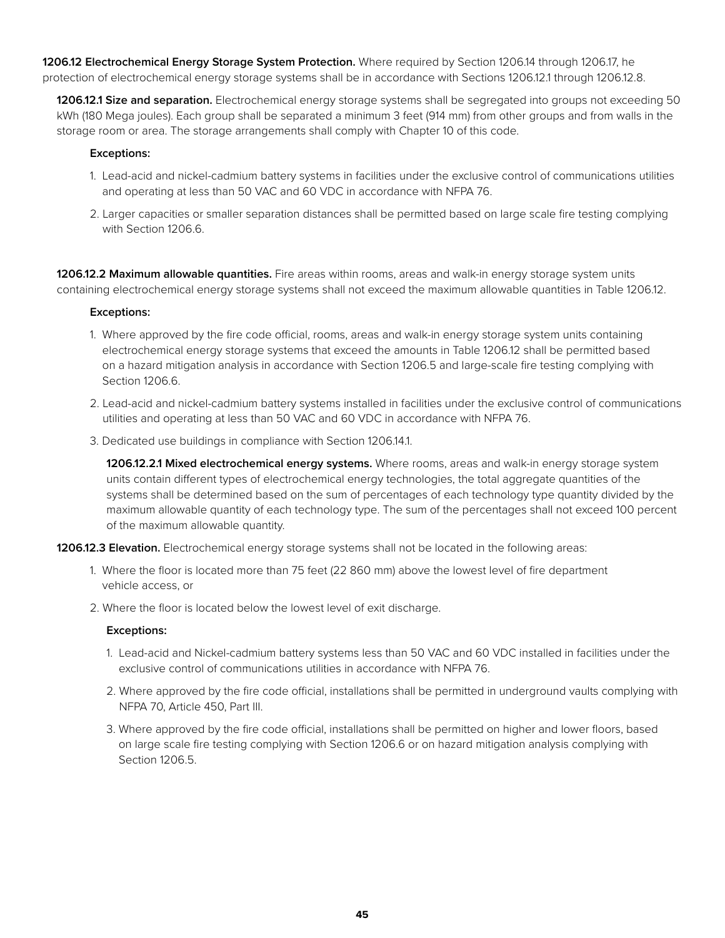**1206.12 Electrochemical Energy Storage System Protection.** Where required by Section 1206.14 through 1206.17, he protection of electrochemical energy storage systems shall be in accordance with Sections 1206.12.1 through 1206.12.8.

**1206.12.1 Size and separation.** Electrochemical energy storage systems shall be segregated into groups not exceeding 50 kWh (180 Mega joules). Each group shall be separated a minimum 3 feet (914 mm) from other groups and from walls in the storage room or area. The storage arrangements shall comply with Chapter 10 of this code.

#### **Exceptions:**

- 1. Lead-acid and nickel-cadmium battery systems in facilities under the exclusive control of communications utilities and operating at less than 50 VAC and 60 VDC in accordance with NFPA 76.
- 2. Larger capacities or smaller separation distances shall be permitted based on large scale fire testing complying with Section 1206.6.

**1206.12.2 Maximum allowable quantities.** Fire areas within rooms, areas and walk-in energy storage system units containing electrochemical energy storage systems shall not exceed the maximum allowable quantities in Table 1206.12.

#### **Exceptions:**

- 1. Where approved by the fire code official, rooms, areas and walk-in energy storage system units containing electrochemical energy storage systems that exceed the amounts in Table 1206.12 shall be permitted based on a hazard mitigation analysis in accordance with Section 1206.5 and large-scale fire testing complying with Section 1206.6.
- 2. Lead-acid and nickel-cadmium battery systems installed in facilities under the exclusive control of communications utilities and operating at less than 50 VAC and 60 VDC in accordance with NFPA 76.
- 3. Dedicated use buildings in compliance with Section 1206.14.1.

**1206.12.2.1 Mixed electrochemical energy systems.** Where rooms, areas and walk-in energy storage system units contain different types of electrochemical energy technologies, the total aggregate quantities of the systems shall be determined based on the sum of percentages of each technology type quantity divided by the maximum allowable quantity of each technology type. The sum of the percentages shall not exceed 100 percent of the maximum allowable quantity.

**1206.12.3 Elevation.** Electrochemical energy storage systems shall not be located in the following areas:

- 1. Where the floor is located more than 75 feet (22 860 mm) above the lowest level of fire department vehicle access, or
- 2. Where the floor is located below the lowest level of exit discharge.

#### **Exceptions:**

- 1. Lead-acid and Nickel-cadmium battery systems less than 50 VAC and 60 VDC installed in facilities under the exclusive control of communications utilities in accordance with NFPA 76.
- 2. Where approved by the fire code official, installations shall be permitted in underground vaults complying with NFPA 70, Article 450, Part III.
- 3. Where approved by the fire code official, installations shall be permitted on higher and lower floors, based on large scale fire testing complying with Section 1206.6 or on hazard mitigation analysis complying with Section 1206.5.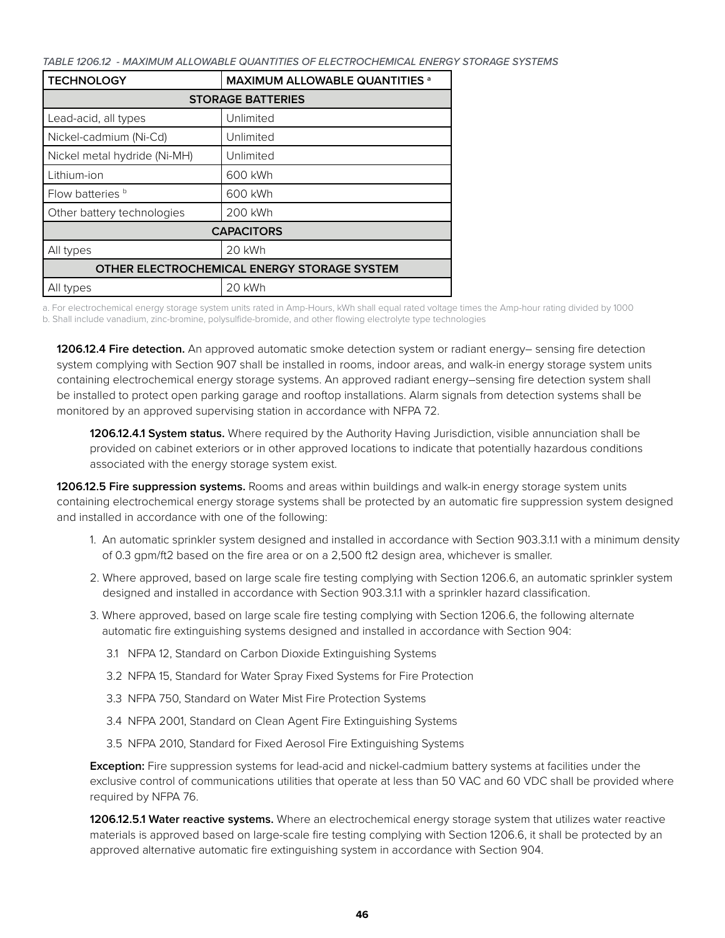*TABLE 1206.12 - MAXIMUM ALLOWABLE QUANTITIES OF ELECTROCHEMICAL ENERGY STORAGE SYSTEMS*

| <b>TECHNOLOGY</b>                           | <b>MAXIMUM ALLOWABLE QUANTITIES at ALLOWABLE QUANTITIES</b> |  |  |  |  |
|---------------------------------------------|-------------------------------------------------------------|--|--|--|--|
| <b>STORAGE BATTERIES</b>                    |                                                             |  |  |  |  |
| Lead-acid, all types                        | Unlimited                                                   |  |  |  |  |
| Nickel-cadmium (Ni-Cd)                      | Unlimited                                                   |  |  |  |  |
| Nickel metal hydride (Ni-MH)                | Unlimited                                                   |  |  |  |  |
| Lithium-ion                                 | 600 kWh                                                     |  |  |  |  |
| Flow batteries <sup>b</sup>                 | 600 kWh                                                     |  |  |  |  |
| Other battery technologies                  | 200 kWh                                                     |  |  |  |  |
| <b>CAPACITORS</b>                           |                                                             |  |  |  |  |
| All types                                   | 20 kWh                                                      |  |  |  |  |
| OTHER ELECTROCHEMICAL ENERGY STORAGE SYSTEM |                                                             |  |  |  |  |
| 20 kWh<br>All types                         |                                                             |  |  |  |  |

a. For electrochemical energy storage system units rated in Amp-Hours, kWh shall equal rated voltage times the Amp-hour rating divided by 1000 b. Shall include vanadium, zinc-bromine, polysulfide-bromide, and other flowing electrolyte type technologies

**1206.12.4 Fire detection.** An approved automatic smoke detection system or radiant energy– sensing fire detection system complying with Section 907 shall be installed in rooms, indoor areas, and walk-in energy storage system units containing electrochemical energy storage systems. An approved radiant energy–sensing fire detection system shall be installed to protect open parking garage and rooftop installations. Alarm signals from detection systems shall be monitored by an approved supervising station in accordance with NFPA 72.

**1206.12.4.1 System status.** Where required by the Authority Having Jurisdiction, visible annunciation shall be provided on cabinet exteriors or in other approved locations to indicate that potentially hazardous conditions associated with the energy storage system exist.

**1206.12.5 Fire suppression systems.** Rooms and areas within buildings and walk-in energy storage system units containing electrochemical energy storage systems shall be protected by an automatic fire suppression system designed and installed in accordance with one of the following:

- 1. An automatic sprinkler system designed and installed in accordance with Section 903.3.1.1 with a minimum density of 0.3 gpm/ft2 based on the fire area or on a 2,500 ft2 design area, whichever is smaller.
- 2. Where approved, based on large scale fire testing complying with Section 1206.6, an automatic sprinkler system designed and installed in accordance with Section 903.3.1.1 with a sprinkler hazard classification.
- 3. Where approved, based on large scale fire testing complying with Section 1206.6, the following alternate automatic fire extinguishing systems designed and installed in accordance with Section 904:
	- 3.1 NFPA 12, Standard on Carbon Dioxide Extinguishing Systems
	- 3.2 NFPA 15, Standard for Water Spray Fixed Systems for Fire Protection
	- 3.3 NFPA 750, Standard on Water Mist Fire Protection Systems
	- 3.4 NFPA 2001, Standard on Clean Agent Fire Extinguishing Systems
	- 3.5 NFPA 2010, Standard for Fixed Aerosol Fire Extinguishing Systems

**Exception:** Fire suppression systems for lead-acid and nickel-cadmium battery systems at facilities under the exclusive control of communications utilities that operate at less than 50 VAC and 60 VDC shall be provided where required by NFPA 76.

**1206.12.5.1 Water reactive systems.** Where an electrochemical energy storage system that utilizes water reactive materials is approved based on large-scale fire testing complying with Section 1206.6, it shall be protected by an approved alternative automatic fire extinguishing system in accordance with Section 904.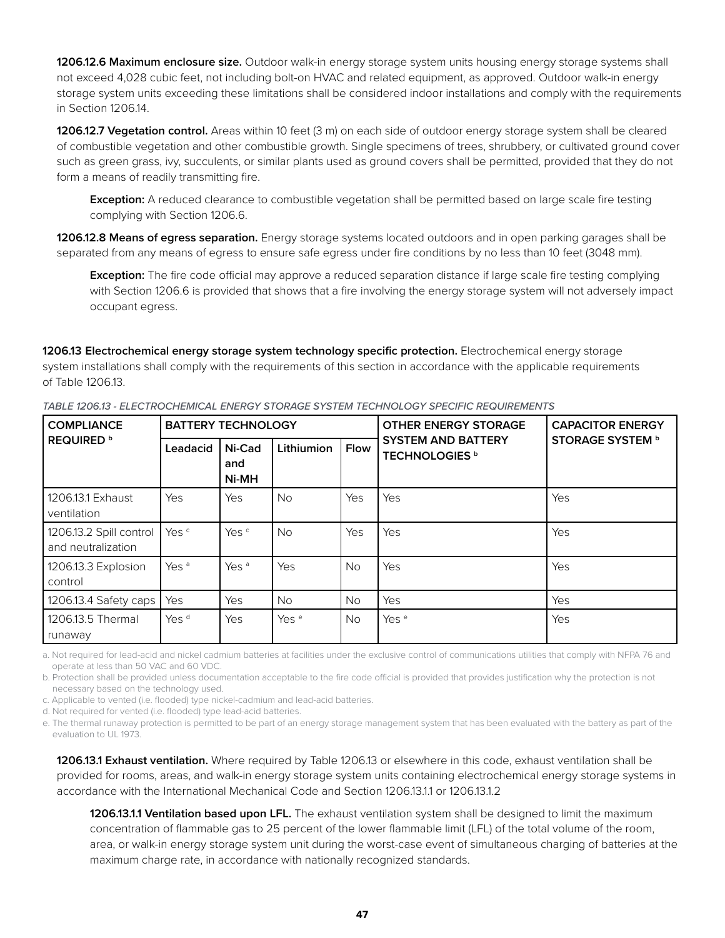**1206.12.6 Maximum enclosure size.** Outdoor walk-in energy storage system units housing energy storage systems shall not exceed 4,028 cubic feet, not including bolt-on HVAC and related equipment, as approved. Outdoor walk-in energy storage system units exceeding these limitations shall be considered indoor installations and comply with the requirements in Section 1206.14.

**1206.12.7 Vegetation control.** Areas within 10 feet (3 m) on each side of outdoor energy storage system shall be cleared of combustible vegetation and other combustible growth. Single specimens of trees, shrubbery, or cultivated ground cover such as green grass, ivy, succulents, or similar plants used as ground covers shall be permitted, provided that they do not form a means of readily transmitting fire.

**Exception:** A reduced clearance to combustible vegetation shall be permitted based on large scale fire testing complying with Section 1206.6.

**1206.12.8 Means of egress separation.** Energy storage systems located outdoors and in open parking garages shall be separated from any means of egress to ensure safe egress under fire conditions by no less than 10 feet (3048 mm).

**Exception:** The fire code official may approve a reduced separation distance if large scale fire testing complying with Section 1206.6 is provided that shows that a fire involving the energy storage system will not adversely impact occupant egress.

**1206.13 Electrochemical energy storage system technology specific protection.** Electrochemical energy storage system installations shall comply with the requirements of this section in accordance with the applicable requirements of Table 1206.13.

| <b>COMPLIANCE</b>                             | <b>BATTERY TECHNOLOGY</b> |                        |                  |             | <b>OTHER ENERGY STORAGE</b>                        | <b>CAPACITOR ENERGY</b> |  |
|-----------------------------------------------|---------------------------|------------------------|------------------|-------------|----------------------------------------------------|-------------------------|--|
| <b>REQUIRED</b> b                             | Leadacid                  | Ni-Cad<br>and<br>Ni-MH | Lithiumion       | <b>Flow</b> | <b>SYSTEM AND BATTERY</b><br><b>TECHNOLOGIES</b> b | <b>STORAGE SYSTEM b</b> |  |
| 1206.13.1 Exhaust<br>ventilation              | Yes                       | Yes                    | No.              | Yes         | Yes                                                | Yes                     |  |
| 1206.13.2 Spill control<br>and neutralization | Yes <sup>c</sup>          | Yes <sup>c</sup>       | No.              | Yes         | Yes                                                | Yes                     |  |
| 1206.13.3 Explosion<br>control                | Yes <sup>a</sup>          | Yes <sup>a</sup>       | Yes              | <b>No</b>   | Yes                                                | Yes                     |  |
| 1206.13.4 Safety caps                         | <b>Yes</b>                | Yes                    | <b>No</b>        | <b>No</b>   | Yes                                                | Yes                     |  |
| 1206.13.5 Thermal<br>runaway                  | Yes <sup>d</sup>          | Yes                    | Yes <sup>e</sup> | <b>No</b>   | Yes <sup>e</sup>                                   | Yes                     |  |

*TABLE 1206.13 - ELECTROCHEMICAL ENERGY STORAGE SYSTEM TECHNOLOGY SPECIFIC REQUIREMENTS*

a. Not required for lead-acid and nickel cadmium batteries at facilities under the exclusive control of communications utilities that comply with NFPA 76 and operate at less than 50 VAC and 60 VDC.

b. Protection shall be provided unless documentation acceptable to the fire code official is provided that provides justification why the protection is not necessary based on the technology used.

c. Applicable to vented (i.e. flooded) type nickel-cadmium and lead-acid batteries.

d. Not required for vented (i.e. flooded) type lead-acid batteries.

e. The thermal runaway protection is permitted to be part of an energy storage management system that has been evaluated with the battery as part of the evaluation to UL 1973.

**1206.13.1 Exhaust ventilation.** Where required by Table 1206.13 or elsewhere in this code, exhaust ventilation shall be provided for rooms, areas, and walk-in energy storage system units containing electrochemical energy storage systems in accordance with the International Mechanical Code and Section 1206.13.1.1 or 1206.13.1.2

**1206.13.1.1 Ventilation based upon LFL.** The exhaust ventilation system shall be designed to limit the maximum concentration of flammable gas to 25 percent of the lower flammable limit (LFL) of the total volume of the room, area, or walk-in energy storage system unit during the worst-case event of simultaneous charging of batteries at the maximum charge rate, in accordance with nationally recognized standards.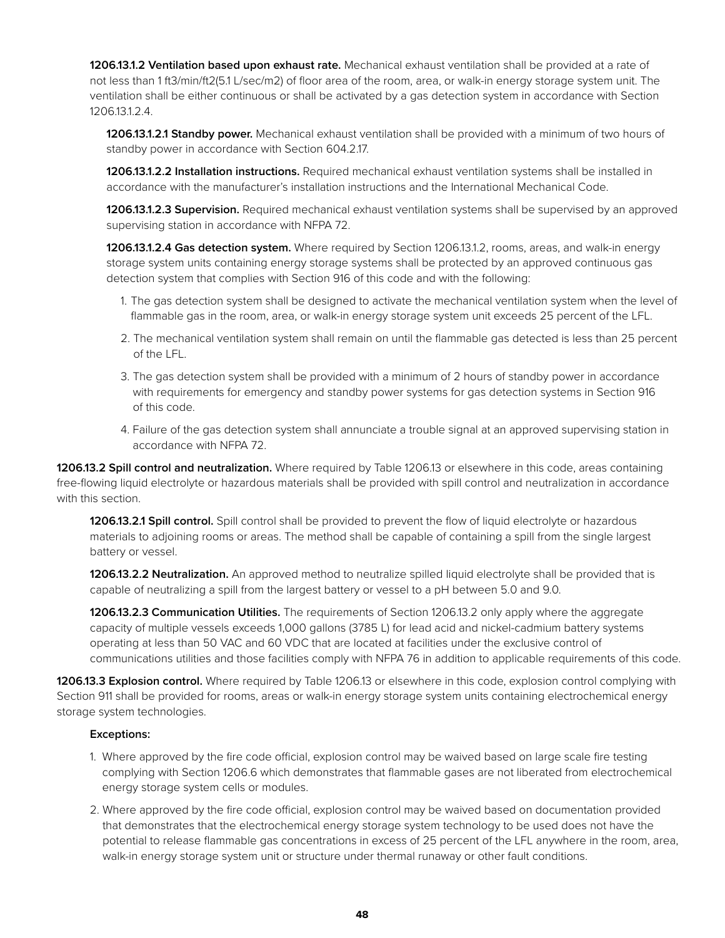**1206.13.1.2 Ventilation based upon exhaust rate.** Mechanical exhaust ventilation shall be provided at a rate of not less than 1 ft3/min/ft2(5.1 L/sec/m2) of floor area of the room, area, or walk-in energy storage system unit. The ventilation shall be either continuous or shall be activated by a gas detection system in accordance with Section 1206.13.1.2.4.

**1206.13.1.2.1 Standby power.** Mechanical exhaust ventilation shall be provided with a minimum of two hours of standby power in accordance with Section 604.2.17.

**1206.13.1.2.2 Installation instructions.** Required mechanical exhaust ventilation systems shall be installed in accordance with the manufacturer's installation instructions and the International Mechanical Code.

**1206.13.1.2.3 Supervision.** Required mechanical exhaust ventilation systems shall be supervised by an approved supervising station in accordance with NFPA 72.

**1206.13.1.2.4 Gas detection system.** Where required by Section 1206.13.1.2, rooms, areas, and walk-in energy storage system units containing energy storage systems shall be protected by an approved continuous gas detection system that complies with Section 916 of this code and with the following:

- 1. The gas detection system shall be designed to activate the mechanical ventilation system when the level of flammable gas in the room, area, or walk-in energy storage system unit exceeds 25 percent of the LFL.
- 2. The mechanical ventilation system shall remain on until the flammable gas detected is less than 25 percent of the LFL.
- 3. The gas detection system shall be provided with a minimum of 2 hours of standby power in accordance with requirements for emergency and standby power systems for gas detection systems in Section 916 of this code.
- 4. Failure of the gas detection system shall annunciate a trouble signal at an approved supervising station in accordance with NFPA 72.

**1206.13.2 Spill control and neutralization.** Where required by Table 1206.13 or elsewhere in this code, areas containing free-flowing liquid electrolyte or hazardous materials shall be provided with spill control and neutralization in accordance with this section.

**1206.13.2.1 Spill control.** Spill control shall be provided to prevent the flow of liquid electrolyte or hazardous materials to adjoining rooms or areas. The method shall be capable of containing a spill from the single largest battery or vessel.

**1206.13.2.2 Neutralization.** An approved method to neutralize spilled liquid electrolyte shall be provided that is capable of neutralizing a spill from the largest battery or vessel to a pH between 5.0 and 9.0.

**1206.13.2.3 Communication Utilities.** The requirements of Section 1206.13.2 only apply where the aggregate capacity of multiple vessels exceeds 1,000 gallons (3785 L) for lead acid and nickel-cadmium battery systems operating at less than 50 VAC and 60 VDC that are located at facilities under the exclusive control of communications utilities and those facilities comply with NFPA 76 in addition to applicable requirements of this code.

**1206.13.3 Explosion control.** Where required by Table 1206.13 or elsewhere in this code, explosion control complying with Section 911 shall be provided for rooms, areas or walk-in energy storage system units containing electrochemical energy storage system technologies.

#### **Exceptions:**

- 1. Where approved by the fire code official, explosion control may be waived based on large scale fire testing complying with Section 1206.6 which demonstrates that flammable gases are not liberated from electrochemical energy storage system cells or modules.
- 2. Where approved by the fire code official, explosion control may be waived based on documentation provided that demonstrates that the electrochemical energy storage system technology to be used does not have the potential to release flammable gas concentrations in excess of 25 percent of the LFL anywhere in the room, area, walk-in energy storage system unit or structure under thermal runaway or other fault conditions.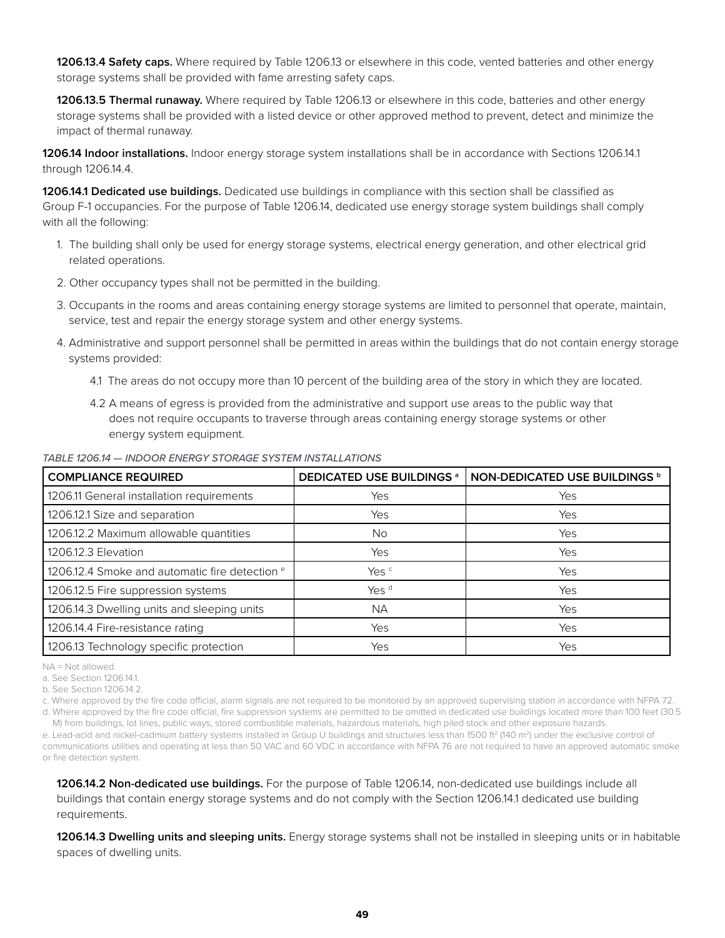**1206.13.4 Safety caps.** Where required by Table 1206.13 or elsewhere in this code, vented batteries and other energy storage systems shall be provided with fame arresting safety caps.

**1206.13.5 Thermal runaway.** Where required by Table 1206.13 or elsewhere in this code, batteries and other energy storage systems shall be provided with a listed device or other approved method to prevent, detect and minimize the impact of thermal runaway.

**1206.14 Indoor installations.** Indoor energy storage system installations shall be in accordance with Sections 1206.14.1 through 1206.14.4.

**1206.14.1 Dedicated use buildings.** Dedicated use buildings in compliance with this section shall be classified as Group F-1 occupancies. For the purpose of Table 1206.14, dedicated use energy storage system buildings shall comply with all the following:

- 1. The building shall only be used for energy storage systems, electrical energy generation, and other electrical grid related operations.
- 2. Other occupancy types shall not be permitted in the building.
- 3. Occupants in the rooms and areas containing energy storage systems are limited to personnel that operate, maintain, service, test and repair the energy storage system and other energy systems.
- 4. Administrative and support personnel shall be permitted in areas within the buildings that do not contain energy storage systems provided:
	- 4.1 The areas do not occupy more than 10 percent of the building area of the story in which they are located.
	- 4.2 A means of egress is provided from the administrative and support use areas to the public way that does not require occupants to traverse through areas containing energy storage systems or other energy system equipment.

*TABLE 1206.14 — INDOOR ENERGY STORAGE SYSTEM INSTALLATIONS*

| <b>COMPLIANCE REQUIRED</b>                                | <b>DEDICATED USE BUILDINGS a</b> | <b>NON-DEDICATED USE BUILDINGS b</b> |
|-----------------------------------------------------------|----------------------------------|--------------------------------------|
| 1206.11 General installation requirements                 | Yes                              | Yes                                  |
| 1206.12.1 Size and separation                             | Yes                              | Yes                                  |
| 1206.12.2 Maximum allowable quantities                    | No.                              | Yes                                  |
| 1206.12.3 Elevation                                       | Yes                              | Yes                                  |
| 1206.12.4 Smoke and automatic fire detection <sup>e</sup> | Yes <sup>c</sup>                 | Yes                                  |
| 1206.12.5 Fire suppression systems                        | Yes <sup>d</sup>                 | Yes                                  |
| 1206.14.3 Dwelling units and sleeping units               | <b>NA</b>                        | Yes                                  |
| 1206.14.4 Fire-resistance rating                          | Yes                              | Yes                                  |
| 1206.13 Technology specific protection                    | Yes                              | Yes                                  |

NA = Not allowed.

b. See Section 1206.14.2.

c. Where approved by the fire code official, alarm signals are not required to be monitored by an approved supervising station in accordance with NFPA 72. d. Where approved by the fire code official, fire suppression systems are permitted to be omitted in dedicated use buildings located more than 100 feet (30.5

M) from buildings, lot lines, public ways, stored combustible materials, hazardous materials, high piled stock and other exposure hazards.

e. Lead-acid and nickel-cadmium battery systems installed in Group U buildings and structures less than 1500 ft<sup>2</sup> (140 m<sup>2</sup>) under the exclusive control of communications utilities and operating at less than 50 VAC and 60 VDC in accordance with NFPA 76 are not required to have an approved automatic smoke or fire detection system.

**1206.14.2 Non-dedicated use buildings.** For the purpose of Table 1206.14, non-dedicated use buildings include all buildings that contain energy storage systems and do not comply with the Section 1206.14.1 dedicated use building requirements.

**1206.14.3 Dwelling units and sleeping units.** Energy storage systems shall not be installed in sleeping units or in habitable spaces of dwelling units.

a. See Section 1206.14.1.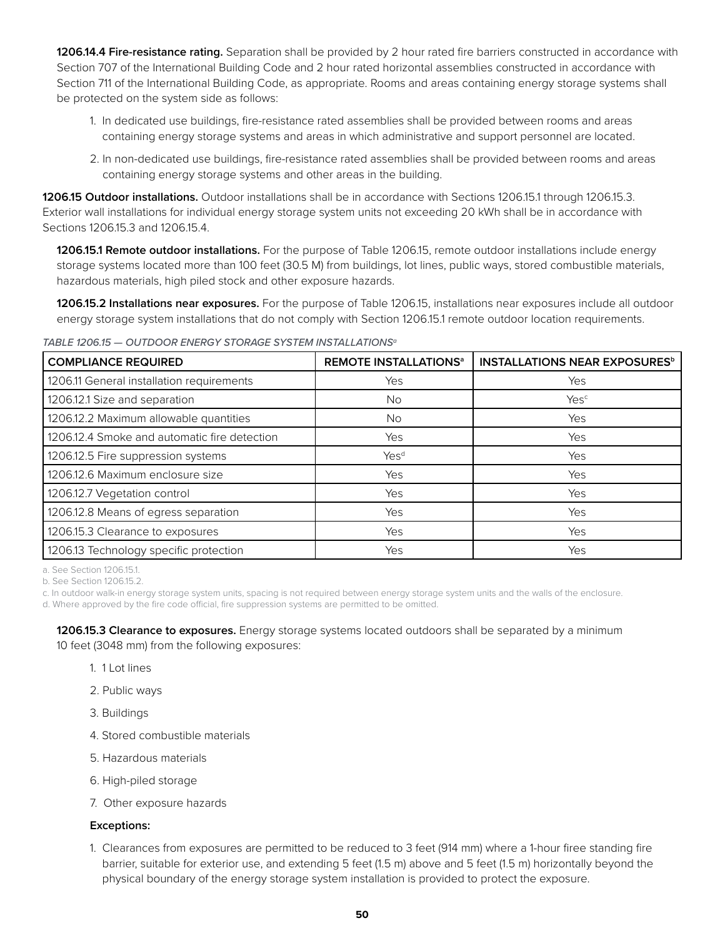**1206.14.4 Fire-resistance rating.** Separation shall be provided by 2 hour rated fire barriers constructed in accordance with Section 707 of the International Building Code and 2 hour rated horizontal assemblies constructed in accordance with Section 711 of the International Building Code, as appropriate. Rooms and areas containing energy storage systems shall be protected on the system side as follows:

- 1. In dedicated use buildings, fire-resistance rated assemblies shall be provided between rooms and areas containing energy storage systems and areas in which administrative and support personnel are located.
- 2. In non-dedicated use buildings, fire-resistance rated assemblies shall be provided between rooms and areas containing energy storage systems and other areas in the building.

**1206.15 Outdoor installations.** Outdoor installations shall be in accordance with Sections 1206.15.1 through 1206.15.3. Exterior wall installations for individual energy storage system units not exceeding 20 kWh shall be in accordance with Sections 1206.15.3 and 1206.15.4.

**1206.15.1 Remote outdoor installations.** For the purpose of Table 1206.15, remote outdoor installations include energy storage systems located more than 100 feet (30.5 M) from buildings, lot lines, public ways, stored combustible materials, hazardous materials, high piled stock and other exposure hazards.

**1206.15.2 Installations near exposures.** For the purpose of Table 1206.15, installations near exposures include all outdoor energy storage system installations that do not comply with Section 1206.15.1 remote outdoor location requirements.

*TABLE 1206.15 — OUTDOOR ENERGY STORAGE SYSTEM INSTALLATIONSa*

| <b>COMPLIANCE REQUIRED</b>                   | <b>REMOTE INSTALLATIONS<sup>a</sup></b> | <b>INSTALLATIONS NEAR EXPOSURES</b> <sup>b</sup> |
|----------------------------------------------|-----------------------------------------|--------------------------------------------------|
| 1206.11 General installation requirements    | Yes                                     | Yes                                              |
| 1206.12.1 Size and separation                | No.                                     | Yesc                                             |
| 1206.12.2 Maximum allowable quantities       | No.                                     | Yes                                              |
| 1206.12.4 Smoke and automatic fire detection | Yes                                     | Yes                                              |
| 1206.12.5 Fire suppression systems           | Yes <sup>d</sup>                        | Yes                                              |
| 1206.12.6 Maximum enclosure size             | Yes                                     | Yes                                              |
| 1206.12.7 Vegetation control                 | Yes                                     | Yes                                              |
| 1206.12.8 Means of egress separation         | Yes                                     | Yes                                              |
| 1206.15.3 Clearance to exposures             | Yes                                     | Yes                                              |
| 1206.13 Technology specific protection       | Yes                                     | Yes                                              |

a. See Section 1206.15.1.

b. See Section 1206.15.2.

c. In outdoor walk-in energy storage system units, spacing is not required between energy storage system units and the walls of the enclosure. d. Where approved by the fire code official, fire suppression systems are permitted to be omitted.

**1206.15.3 Clearance to exposures.** Energy storage systems located outdoors shall be separated by a minimum 10 feet (3048 mm) from the following exposures:

- 1. 1 Lot lines
- 2. Public ways
- 3. Buildings
- 4. Stored combustible materials
- 5. Hazardous materials
- 6. High-piled storage
- 7. Other exposure hazards

#### **Exceptions:**

1. Clearances from exposures are permitted to be reduced to 3 feet (914 mm) where a 1-hour firee standing fire barrier, suitable for exterior use, and extending 5 feet (1.5 m) above and 5 feet (1.5 m) horizontally beyond the physical boundary of the energy storage system installation is provided to protect the exposure.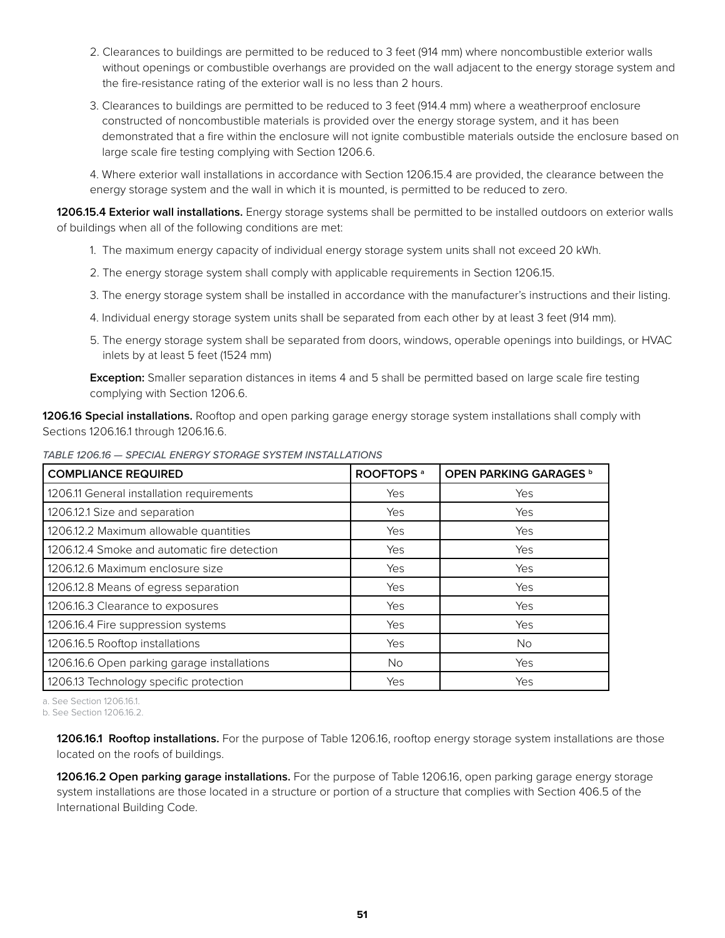- 2. Clearances to buildings are permitted to be reduced to 3 feet (914 mm) where noncombustible exterior walls without openings or combustible overhangs are provided on the wall adjacent to the energy storage system and the fire-resistance rating of the exterior wall is no less than 2 hours.
- 3. Clearances to buildings are permitted to be reduced to 3 feet (914.4 mm) where a weatherproof enclosure constructed of noncombustible materials is provided over the energy storage system, and it has been demonstrated that a fire within the enclosure will not ignite combustible materials outside the enclosure based on large scale fire testing complying with Section 1206.6.

4. Where exterior wall installations in accordance with Section 1206.15.4 are provided, the clearance between the energy storage system and the wall in which it is mounted, is permitted to be reduced to zero.

**1206.15.4 Exterior wall installations.** Energy storage systems shall be permitted to be installed outdoors on exterior walls of buildings when all of the following conditions are met:

- 1. The maximum energy capacity of individual energy storage system units shall not exceed 20 kWh.
- 2. The energy storage system shall comply with applicable requirements in Section 1206.15.
- 3. The energy storage system shall be installed in accordance with the manufacturer's instructions and their listing.
- 4. Individual energy storage system units shall be separated from each other by at least 3 feet (914 mm).
- 5. The energy storage system shall be separated from doors, windows, operable openings into buildings, or HVAC inlets by at least 5 feet (1524 mm)

**Exception:** Smaller separation distances in items 4 and 5 shall be permitted based on large scale fire testing complying with Section 1206.6.

**1206.16 Special installations.** Rooftop and open parking garage energy storage system installations shall comply with Sections 1206.16.1 through 1206.16.6.

| TABLE 1206.16 - SPECIAL ENERGY STORAGE SYSTEM INSTALLATIONS |  |  |  |  |  |  |
|-------------------------------------------------------------|--|--|--|--|--|--|
|-------------------------------------------------------------|--|--|--|--|--|--|

| <b>COMPLIANCE REQUIRED</b>                   | ROOFTOPS <sup>a</sup> | OPEN PARKING GARAGES b |
|----------------------------------------------|-----------------------|------------------------|
| 1206.11 General installation requirements    | Yes                   | Yes                    |
| 1206.12.1 Size and separation                | Yes                   | Yes                    |
| 1206.12.2 Maximum allowable quantities       | Yes                   | Yes                    |
| 1206.12.4 Smoke and automatic fire detection | Yes                   | Yes                    |
| 1206.12.6 Maximum enclosure size             | Yes                   | Yes                    |
| 1206.12.8 Means of egress separation         | Yes                   | Yes                    |
| 1206.16.3 Clearance to exposures             | Yes                   | Yes                    |
| 1206.16.4 Fire suppression systems           | Yes                   | Yes                    |
| 1206.16.5 Rooftop installations              | Yes                   | No.                    |
| 1206.16.6 Open parking garage installations  | No.                   | Yes                    |
| 1206.13 Technology specific protection       | Yes                   | Yes                    |

a. See Section 1206.16.1.

**1206.16.1 Rooftop installations.** For the purpose of Table 1206.16, rooftop energy storage system installations are those located on the roofs of buildings.

**1206.16.2 Open parking garage installations.** For the purpose of Table 1206.16, open parking garage energy storage system installations are those located in a structure or portion of a structure that complies with Section 406.5 of the International Building Code.

b. See Section 1206.16.2.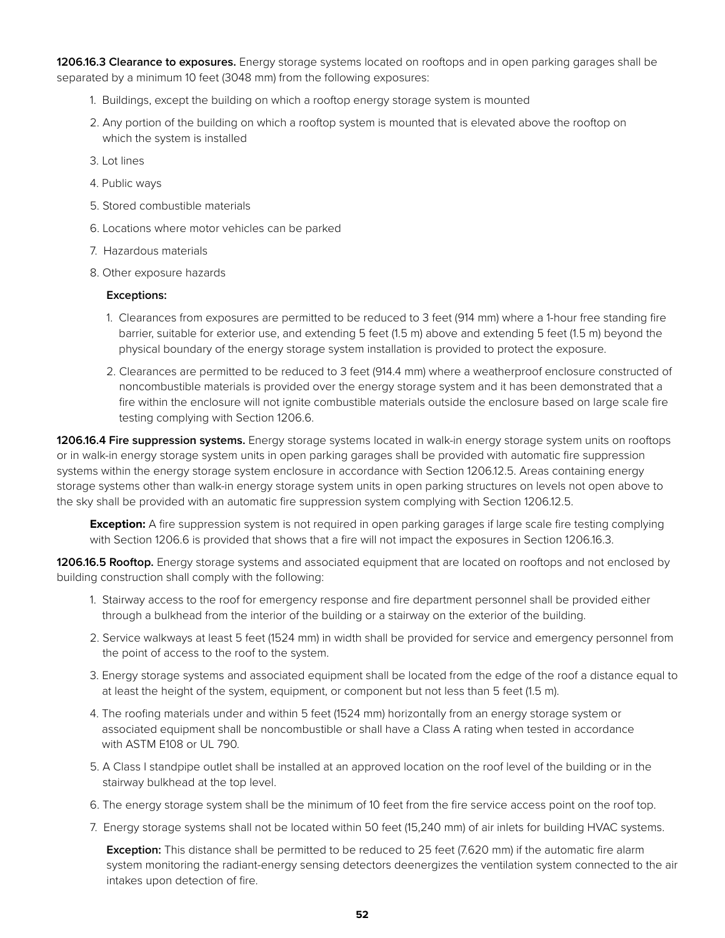**1206.16.3 Clearance to exposures.** Energy storage systems located on rooftops and in open parking garages shall be separated by a minimum 10 feet (3048 mm) from the following exposures:

- 1. Buildings, except the building on which a rooftop energy storage system is mounted
- 2. Any portion of the building on which a rooftop system is mounted that is elevated above the rooftop on which the system is installed
- 3. Lot lines
- 4. Public ways
- 5. Stored combustible materials
- 6. Locations where motor vehicles can be parked
- 7. Hazardous materials
- 8. Other exposure hazards

#### **Exceptions:**

- 1. Clearances from exposures are permitted to be reduced to 3 feet (914 mm) where a 1-hour free standing fire barrier, suitable for exterior use, and extending 5 feet (1.5 m) above and extending 5 feet (1.5 m) beyond the physical boundary of the energy storage system installation is provided to protect the exposure.
- 2. Clearances are permitted to be reduced to 3 feet (914.4 mm) where a weatherproof enclosure constructed of noncombustible materials is provided over the energy storage system and it has been demonstrated that a fire within the enclosure will not ignite combustible materials outside the enclosure based on large scale fire testing complying with Section 1206.6.

**1206.16.4 Fire suppression systems.** Energy storage systems located in walk-in energy storage system units on rooftops or in walk-in energy storage system units in open parking garages shall be provided with automatic fire suppression systems within the energy storage system enclosure in accordance with Section 1206.12.5. Areas containing energy storage systems other than walk-in energy storage system units in open parking structures on levels not open above to the sky shall be provided with an automatic fire suppression system complying with Section 1206.12.5.

**Exception:** A fire suppression system is not required in open parking garages if large scale fire testing complying with Section 1206.6 is provided that shows that a fire will not impact the exposures in Section 1206.16.3.

**1206.16.5 Rooftop.** Energy storage systems and associated equipment that are located on rooftops and not enclosed by building construction shall comply with the following:

- 1. Stairway access to the roof for emergency response and fire department personnel shall be provided either through a bulkhead from the interior of the building or a stairway on the exterior of the building.
- 2. Service walkways at least 5 feet (1524 mm) in width shall be provided for service and emergency personnel from the point of access to the roof to the system.
- 3. Energy storage systems and associated equipment shall be located from the edge of the roof a distance equal to at least the height of the system, equipment, or component but not less than 5 feet (1.5 m).
- 4. The roofing materials under and within 5 feet (1524 mm) horizontally from an energy storage system or associated equipment shall be noncombustible or shall have a Class A rating when tested in accordance with ASTM E108 or UL 790.
- 5. A Class I standpipe outlet shall be installed at an approved location on the roof level of the building or in the stairway bulkhead at the top level.
- 6. The energy storage system shall be the minimum of 10 feet from the fire service access point on the roof top.
- 7. Energy storage systems shall not be located within 50 feet (15,240 mm) of air inlets for building HVAC systems.

**Exception:** This distance shall be permitted to be reduced to 25 feet (7.620 mm) if the automatic fire alarm system monitoring the radiant-energy sensing detectors deenergizes the ventilation system connected to the air intakes upon detection of fire.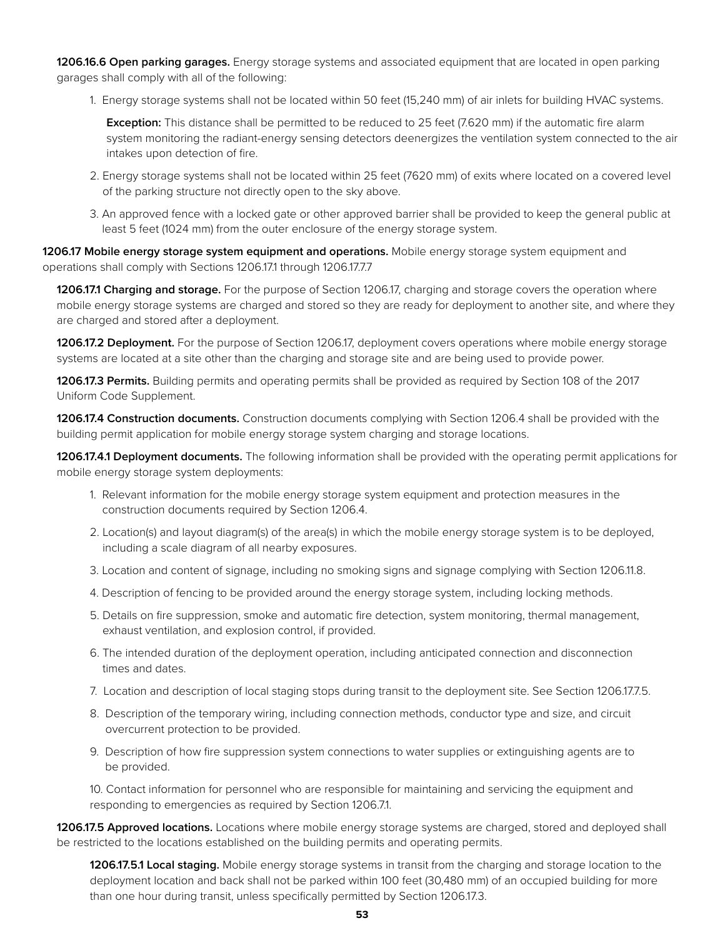**1206.16.6 Open parking garages.** Energy storage systems and associated equipment that are located in open parking garages shall comply with all of the following:

1. Energy storage systems shall not be located within 50 feet (15,240 mm) of air inlets for building HVAC systems.

**Exception:** This distance shall be permitted to be reduced to 25 feet (7.620 mm) if the automatic fire alarm system monitoring the radiant-energy sensing detectors deenergizes the ventilation system connected to the air intakes upon detection of fire.

- 2. Energy storage systems shall not be located within 25 feet (7620 mm) of exits where located on a covered level of the parking structure not directly open to the sky above.
- 3. An approved fence with a locked gate or other approved barrier shall be provided to keep the general public at least 5 feet (1024 mm) from the outer enclosure of the energy storage system.

**1206.17 Mobile energy storage system equipment and operations.** Mobile energy storage system equipment and operations shall comply with Sections 1206.17.1 through 1206.17.7.7

**1206.17.1 Charging and storage.** For the purpose of Section 1206.17, charging and storage covers the operation where mobile energy storage systems are charged and stored so they are ready for deployment to another site, and where they are charged and stored after a deployment.

**1206.17.2 Deployment.** For the purpose of Section 1206.17, deployment covers operations where mobile energy storage systems are located at a site other than the charging and storage site and are being used to provide power.

**1206.17.3 Permits.** Building permits and operating permits shall be provided as required by Section 108 of the 2017 Uniform Code Supplement.

**1206.17.4 Construction documents.** Construction documents complying with Section 1206.4 shall be provided with the building permit application for mobile energy storage system charging and storage locations.

**1206.17.4.1 Deployment documents.** The following information shall be provided with the operating permit applications for mobile energy storage system deployments:

- 1. Relevant information for the mobile energy storage system equipment and protection measures in the construction documents required by Section 1206.4.
- 2. Location(s) and layout diagram(s) of the area(s) in which the mobile energy storage system is to be deployed, including a scale diagram of all nearby exposures.
- 3. Location and content of signage, including no smoking signs and signage complying with Section 1206.11.8.
- 4. Description of fencing to be provided around the energy storage system, including locking methods.
- 5. Details on fire suppression, smoke and automatic fire detection, system monitoring, thermal management, exhaust ventilation, and explosion control, if provided.
- 6. The intended duration of the deployment operation, including anticipated connection and disconnection times and dates.
- 7. Location and description of local staging stops during transit to the deployment site. See Section 1206.17.7.5.
- 8. Description of the temporary wiring, including connection methods, conductor type and size, and circuit overcurrent protection to be provided.
- 9. Description of how fire suppression system connections to water supplies or extinguishing agents are to be provided.

10. Contact information for personnel who are responsible for maintaining and servicing the equipment and responding to emergencies as required by Section 1206.7.1.

**1206.17.5 Approved locations.** Locations where mobile energy storage systems are charged, stored and deployed shall be restricted to the locations established on the building permits and operating permits.

**1206.17.5.1 Local staging.** Mobile energy storage systems in transit from the charging and storage location to the deployment location and back shall not be parked within 100 feet (30,480 mm) of an occupied building for more than one hour during transit, unless specifically permitted by Section 1206.17.3.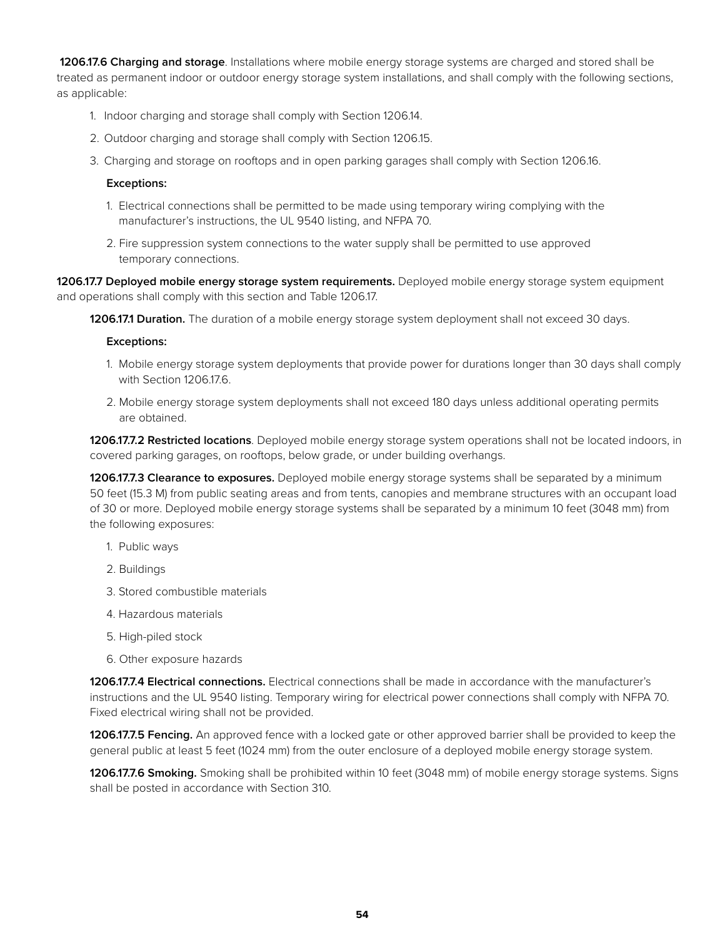**1206.17.6 Charging and storage**. Installations where mobile energy storage systems are charged and stored shall be treated as permanent indoor or outdoor energy storage system installations, and shall comply with the following sections, as applicable:

- 1. Indoor charging and storage shall comply with Section 1206.14.
- 2. Outdoor charging and storage shall comply with Section 1206.15.
- 3. Charging and storage on rooftops and in open parking garages shall comply with Section 1206.16.

#### **Exceptions:**

- 1. Electrical connections shall be permitted to be made using temporary wiring complying with the manufacturer's instructions, the UL 9540 listing, and NFPA 70.
- 2. Fire suppression system connections to the water supply shall be permitted to use approved temporary connections.

**1206.17.7 Deployed mobile energy storage system requirements.** Deployed mobile energy storage system equipment and operations shall comply with this section and Table 1206.17.

**1206.17.1 Duration.** The duration of a mobile energy storage system deployment shall not exceed 30 days.

#### **Exceptions:**

- 1. Mobile energy storage system deployments that provide power for durations longer than 30 days shall comply with Section 1206.17.6.
- 2. Mobile energy storage system deployments shall not exceed 180 days unless additional operating permits are obtained.

**1206.17.7.2 Restricted locations**. Deployed mobile energy storage system operations shall not be located indoors, in covered parking garages, on rooftops, below grade, or under building overhangs.

**1206.17.7.3 Clearance to exposures.** Deployed mobile energy storage systems shall be separated by a minimum 50 feet (15.3 M) from public seating areas and from tents, canopies and membrane structures with an occupant load of 30 or more. Deployed mobile energy storage systems shall be separated by a minimum 10 feet (3048 mm) from the following exposures:

- 1. Public ways
- 2. Buildings
- 3. Stored combustible materials
- 4. Hazardous materials
- 5. High-piled stock
- 6. Other exposure hazards

**1206.17.7.4 Electrical connections.** Electrical connections shall be made in accordance with the manufacturer's instructions and the UL 9540 listing. Temporary wiring for electrical power connections shall comply with NFPA 70. Fixed electrical wiring shall not be provided.

**1206.17.7.5 Fencing.** An approved fence with a locked gate or other approved barrier shall be provided to keep the general public at least 5 feet (1024 mm) from the outer enclosure of a deployed mobile energy storage system.

**1206.17.7.6 Smoking.** Smoking shall be prohibited within 10 feet (3048 mm) of mobile energy storage systems. Signs shall be posted in accordance with Section 310.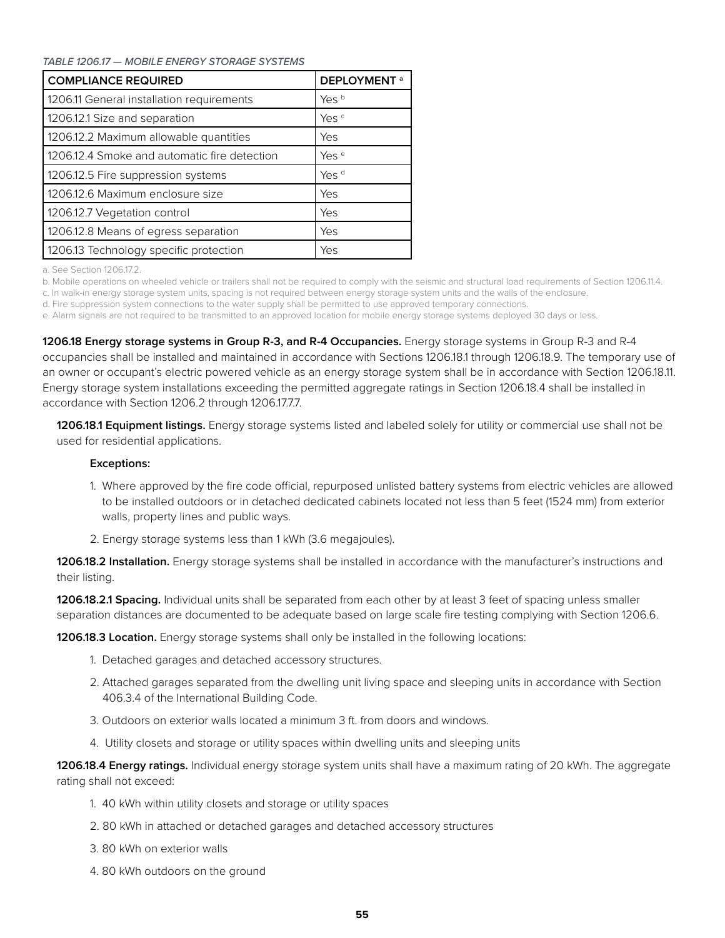*TABLE 1206.17 — MOBILE ENERGY STORAGE SYSTEMS*

| <b>COMPLIANCE REQUIRED</b>                   | <b>DEPLOYMENT<sup>a</sup></b> |
|----------------------------------------------|-------------------------------|
| 1206.11 General installation requirements    | Yes b                         |
| 1206.12.1 Size and separation                | Yes <sup>c</sup>              |
| 1206.12.2 Maximum allowable quantities       | Yes                           |
| 1206.12.4 Smoke and automatic fire detection | Yes <sup>e</sup>              |
| 1206.12.5 Fire suppression systems           | Yes <sup>d</sup>              |
| 1206.12.6 Maximum enclosure size             | Yes                           |
| 1206.12.7 Vegetation control                 | Yes                           |
| 1206.12.8 Means of egress separation         | Yes                           |
| 1206.13 Technology specific protection       | Yes                           |

a. See Section 1206.17.2.

b. Mobile operations on wheeled vehicle or trailers shall not be required to comply with the seismic and structural load requirements of Section 1206.11.4.

c. In walk-in energy storage system units, spacing is not required between energy storage system units and the walls of the enclosure.

d. Fire suppression system connections to the water supply shall be permitted to use approved temporary connections.

e. Alarm signals are not required to be transmitted to an approved location for mobile energy storage systems deployed 30 days or less.

**1206.18 Energy storage systems in Group R-3, and R-4 Occupancies.** Energy storage systems in Group R-3 and R-4 occupancies shall be installed and maintained in accordance with Sections 1206.18.1 through 1206.18.9. The temporary use of an owner or occupant's electric powered vehicle as an energy storage system shall be in accordance with Section 1206.18.11. Energy storage system installations exceeding the permitted aggregate ratings in Section 1206.18.4 shall be installed in accordance with Section 1206.2 through 1206.17.7.7.

**1206.18.1 Equipment listings.** Energy storage systems listed and labeled solely for utility or commercial use shall not be used for residential applications.

#### **Exceptions:**

- 1. Where approved by the fire code official, repurposed unlisted battery systems from electric vehicles are allowed to be installed outdoors or in detached dedicated cabinets located not less than 5 feet (1524 mm) from exterior walls, property lines and public ways.
- 2. Energy storage systems less than 1 kWh (3.6 megajoules).

**1206.18.2 Installation.** Energy storage systems shall be installed in accordance with the manufacturer's instructions and their listing.

**1206.18.2.1 Spacing.** Individual units shall be separated from each other by at least 3 feet of spacing unless smaller separation distances are documented to be adequate based on large scale fire testing complying with Section 1206.6.

**1206.18.3 Location.** Energy storage systems shall only be installed in the following locations:

- 1. Detached garages and detached accessory structures.
- 2. Attached garages separated from the dwelling unit living space and sleeping units in accordance with Section 406.3.4 of the International Building Code.
- 3. Outdoors on exterior walls located a minimum 3 ft. from doors and windows.
- 4. Utility closets and storage or utility spaces within dwelling units and sleeping units

**1206.18.4 Energy ratings.** Individual energy storage system units shall have a maximum rating of 20 kWh. The aggregate rating shall not exceed:

- 1. 40 kWh within utility closets and storage or utility spaces
- 2. 80 kWh in attached or detached garages and detached accessory structures
- 3. 80 kWh on exterior walls
- 4. 80 kWh outdoors on the ground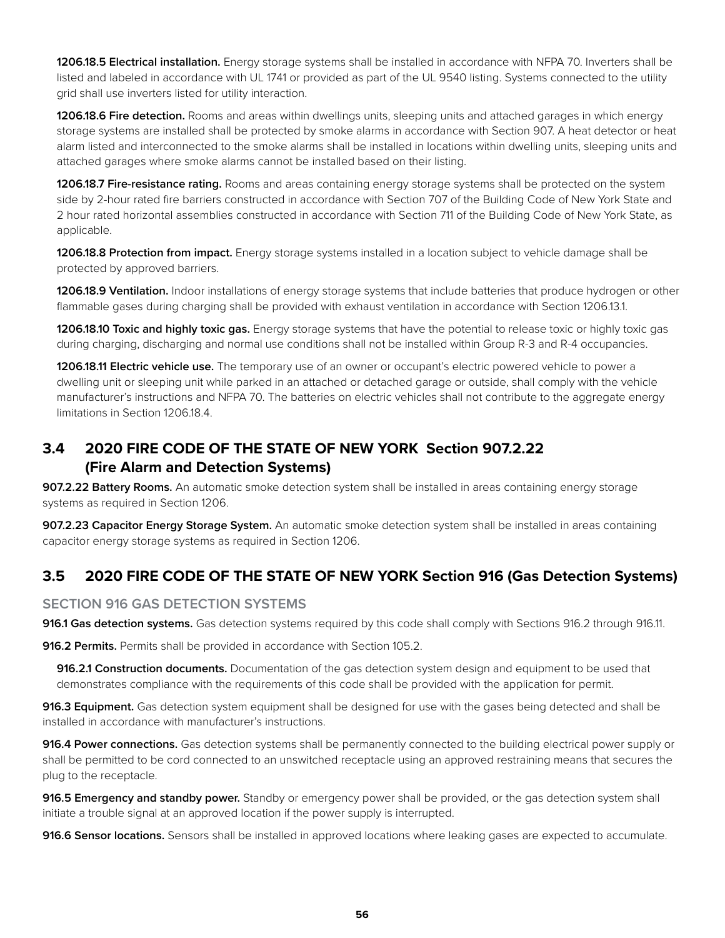**1206.18.5 Electrical installation.** Energy storage systems shall be installed in accordance with NFPA 70. Inverters shall be listed and labeled in accordance with UL 1741 or provided as part of the UL 9540 listing. Systems connected to the utility grid shall use inverters listed for utility interaction.

**1206.18.6 Fire detection.** Rooms and areas within dwellings units, sleeping units and attached garages in which energy storage systems are installed shall be protected by smoke alarms in accordance with Section 907. A heat detector or heat alarm listed and interconnected to the smoke alarms shall be installed in locations within dwelling units, sleeping units and attached garages where smoke alarms cannot be installed based on their listing.

**1206.18.7 Fire-resistance rating.** Rooms and areas containing energy storage systems shall be protected on the system side by 2-hour rated fire barriers constructed in accordance with Section 707 of the Building Code of New York State and 2 hour rated horizontal assemblies constructed in accordance with Section 711 of the Building Code of New York State, as applicable.

**1206.18.8 Protection from impact.** Energy storage systems installed in a location subject to vehicle damage shall be protected by approved barriers.

**1206.18.9 Ventilation.** Indoor installations of energy storage systems that include batteries that produce hydrogen or other flammable gases during charging shall be provided with exhaust ventilation in accordance with Section 1206.13.1.

**1206.18.10 Toxic and highly toxic gas.** Energy storage systems that have the potential to release toxic or highly toxic gas during charging, discharging and normal use conditions shall not be installed within Group R-3 and R-4 occupancies.

**1206.18.11 Electric vehicle use.** The temporary use of an owner or occupant's electric powered vehicle to power a dwelling unit or sleeping unit while parked in an attached or detached garage or outside, shall comply with the vehicle manufacturer's instructions and NFPA 70. The batteries on electric vehicles shall not contribute to the aggregate energy limitations in Section 1206.18.4.

# **3.4 2020 FIRE CODE OF THE STATE OF NEW YORK Section 907.2.22 (Fire Alarm and Detection Systems)**

**907.2.22 Battery Rooms.** An automatic smoke detection system shall be installed in areas containing energy storage systems as required in Section 1206.

**907.2.23 Capacitor Energy Storage System.** An automatic smoke detection system shall be installed in areas containing capacitor energy storage systems as required in Section 1206.

### **3.5 2020 FIRE CODE OF THE STATE OF NEW YORK Section 916 (Gas Detection Systems)**

#### **SECTION 916 GAS DETECTION SYSTEMS**

**916.1 Gas detection systems.** Gas detection systems required by this code shall comply with Sections 916.2 through 916.11.

**916.2 Permits.** Permits shall be provided in accordance with Section 105.2.

**916.2.1 Construction documents.** Documentation of the gas detection system design and equipment to be used that demonstrates compliance with the requirements of this code shall be provided with the application for permit.

**916.3 Equipment.** Gas detection system equipment shall be designed for use with the gases being detected and shall be installed in accordance with manufacturer's instructions.

**916.4 Power connections.** Gas detection systems shall be permanently connected to the building electrical power supply or shall be permitted to be cord connected to an unswitched receptacle using an approved restraining means that secures the plug to the receptacle.

**916.5 Emergency and standby power.** Standby or emergency power shall be provided, or the gas detection system shall initiate a trouble signal at an approved location if the power supply is interrupted.

**916.6 Sensor locations.** Sensors shall be installed in approved locations where leaking gases are expected to accumulate.